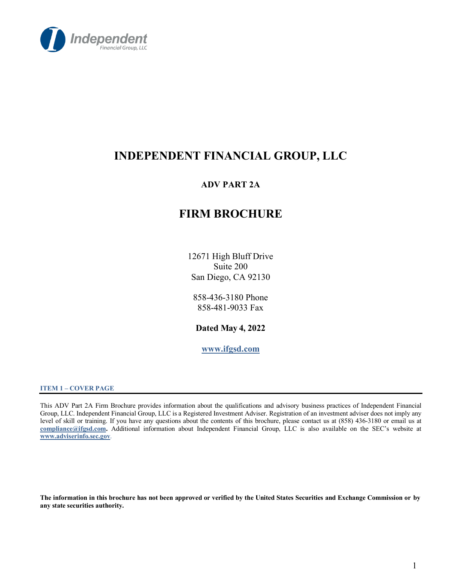

# **INDEPENDENT FINANCIAL GROUP, LLC**

# **ADV PART 2A**

# **FIRM BROCHURE**

12671 High Bluff Drive Suite 200 San Diego, CA 92130

858-436-3180 Phone 858-481-9033 Fax

**Dated May 4, 2022** 

**[www.ifgsd.com](http://www.ifgsd.com/)**

<span id="page-0-0"></span>**ITEM 1 – COVER PAGE**

This ADV Part 2A Firm Brochure provides information about the qualifications and advisory business practices of Independent Financial Group, LLC. Independent Financial Group, LLC is a Registered Investment Adviser. Registration of an investment adviser does not imply any level of skill or training. If you have any questions about the contents of this brochure, please contact us at (858) 436-3180 or email us at **[compliance@ifgsd.com.](mailto:compliance@ifgsd.com)** Additional information about Independent Financial Group, LLC is also available on the SEC's website at **[www.adviserinfo.sec.gov](http://www.adviserinfo.sec.gov/)**.

The information in this brochure has not been approved or verified by the United States Securities and Exchange Commission or by **any state securities authority.**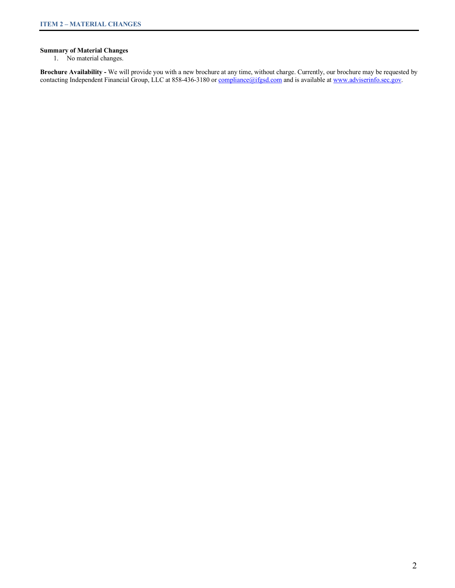#### <span id="page-1-1"></span><span id="page-1-0"></span>**Summary of Material Changes**

1. No material changes.

**Brochure Availability -** We will provide you with a new brochure at any time, without charge. Currently, our brochure may be requested by contacting Independent Financial Group, LLC at 858-436-3180 or [compliance@ifgsd.com a](mailto:compliance@ifgsd.com)nd is available a[t www.adviserinfo.sec.gov.](http://www.adviserinfo.sec.gov/)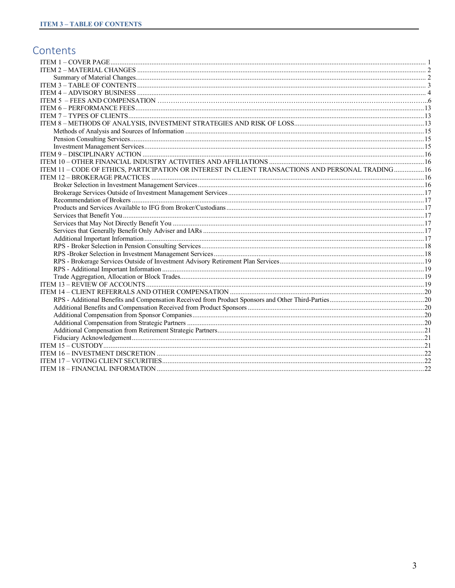# <span id="page-2-0"></span>Contents

| ITEM 11 - CODE OF ETHICS, PARTICIPATION OR INTEREST IN CLIENT TRANSACTIONS AND PERSONAL TRADING16 |  |
|---------------------------------------------------------------------------------------------------|--|
|                                                                                                   |  |
|                                                                                                   |  |
|                                                                                                   |  |
|                                                                                                   |  |
|                                                                                                   |  |
|                                                                                                   |  |
|                                                                                                   |  |
|                                                                                                   |  |
|                                                                                                   |  |
|                                                                                                   |  |
|                                                                                                   |  |
|                                                                                                   |  |
|                                                                                                   |  |
|                                                                                                   |  |
|                                                                                                   |  |
|                                                                                                   |  |
|                                                                                                   |  |
|                                                                                                   |  |
|                                                                                                   |  |
|                                                                                                   |  |
|                                                                                                   |  |
|                                                                                                   |  |
|                                                                                                   |  |
|                                                                                                   |  |
|                                                                                                   |  |
|                                                                                                   |  |
|                                                                                                   |  |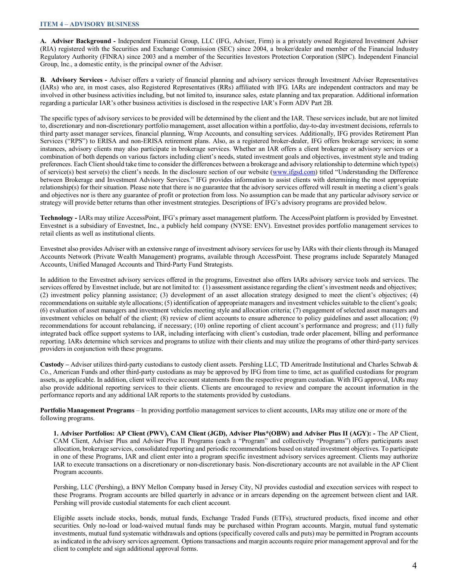<span id="page-3-0"></span>**A. Adviser Background -** Independent Financial Group, LLC (IFG, Adviser, Firm) is a privately owned Registered Investment Adviser (RIA) registered with the Securities and Exchange Commission (SEC) since 2004, a broker/dealer and member of the Financial Industry Regulatory Authority (FINRA) since 2003 and a member of the Securities Investors Protection Corporation (SIPC). Independent Financial Group, Inc., a domestic entity, is the principal owner of the Adviser.

**B. Advisory Services -** Adviser offers a variety of financial planning and advisory services through Investment Adviser Representatives (IARs) who are, in most cases, also Registered Representatives (RRs) affiliated with IFG. IARs are independent contractors and may be involved in other business activities including, but not limited to, insurance sales, estate planning and tax preparation. Additional information regarding a particular IAR's other business activities is disclosed in the respective IAR's Form ADV Part 2B.

The specific types of advisory services to be provided will be determined by the client and the IAR. These services include, but are not limited to, discretionary and non-discretionary portfolio management, asset allocation within a portfolio, day-to-day investment decisions, referrals to third party asset manager services, financial planning, Wrap Accounts, and consulting services. Additionally, IFG provides Retirement Plan Services ("RPS") to ERISA and non-ERISA retirement plans. Also, as a registered broker-dealer, IFG offers brokerage services; in some instances, advisory clients may also participate in brokerage services. Whether an IAR offers a client brokerage or advisory services or a combination of both depends on various factors including client's needs, stated investment goals and objectives, investment style and trading preferences. Each Client should take time to consider the differences between a brokerage and advisory relationship to determine which type(s) of service(s) best serve(s) the client's needs. In the disclosure section of our website [\(www.ifgsd.com\)](http://www.ifgsd.com/) titled "Understanding the Difference between Brokerage and Investment Advisory Services." IFG provides information to assist clients with determining the most appropriate relationship(s) for their situation. Please note that there is no guarantee that the advisory services offered will result in meeting a client's goals and objectives nor is there any guarantee of profit or protection from loss. No assumption can be made that any particular advisory service or strategy will provide better returns than other investment strategies. Descriptions of IFG's advisory programs are provided below.

**Technology -** IARs may utilize AccessPoint, IFG's primary asset management platform. The AccessPoint platform is provided by Envestnet. Envestnet is a subsidiary of Envestnet, Inc., a publicly held company (NYSE: ENV). Envestnet provides portfolio management services to retail clients as well as institutional clients.

Envestnet also provides Adviser with an extensive range of investment advisory servicesfor use by IARs with their clients through its Managed Accounts Network (Private Wealth Management) programs, available through AccessPoint. These programs include Separately Managed Accounts, Unified Managed Accounts and Third‐Party Fund Strategists.

In addition to the Envestnet advisory services offered in the programs, Envestnet also offers IARs advisory service tools and services. The services offered by Envestnet include, but are not limited to: (1) assessment assistance regarding the client's investment needs and objectives; (2) investment policy planning assistance; (3) development of an asset allocation strategy designed to meet the client's objectives; (4) recommendations on suitable style allocations; (5) identification of appropriate managers and investment vehiclessuitable to the client's goals; (6) evaluation of asset managers and investment vehicles meeting style and allocation criteria; (7) engagement of selected asset managers and investment vehicles on behalf of the client; (8) review of client accounts to ensure adherence to policy guidelines and asset allocation; (9) recommendations for account rebalancing, if necessary; (10) online reporting of client account's performance and progress; and (11) fully integrated back office support systems to IAR, including interfacing with client's custodian, trade order placement, billing and performance reporting. IARs determine which services and programs to utilize with their clients and may utilize the programs of other third‐party services providers in conjunction with these programs.

**Custody –** Adviser utilizes third-party custodians to custody client assets. Pershing LLC, TD Ameritrade Institutional and Charles Schwab & Co., American Funds and other third-party custodians as may be approved by IFG from time to time, act as qualified custodians for program assets, as applicable. In addition, client will receive account statements from the respective program custodian. With IFG approval, IARs may also provide additional reporting services to their clients. Clients are encouraged to review and compare the account information in the performance reports and any additional IAR reports to the statements provided by custodians.

**Portfolio Management Programs** – In providing portfolio management services to client accounts, IARs may utilize one or more of the following programs.

**1. Adviser Portfolios: AP Client (PWV), CAM Client (JGD), Adviser Plus\*(OBW) and Adviser Plus II (AGY): -** The AP Client, CAM Client, Adviser Plus and Adviser Plus II Programs (each a "Program" and collectively "Programs") offers participants asset allocation, brokerage services, consolidated reporting and periodic recommendations based on stated investment objectives. To participate in one of these Programs, IAR and client enter into a program specific investment advisory services agreement. Clients may authorize IAR to execute transactions on a discretionary or non-discretionary basis. Non-discretionary accounts are not available in the AP Client Program accounts.

Pershing, LLC (Pershing), a BNY Mellon Company based in Jersey City, NJ provides custodial and execution services with respect to these Programs. Program accounts are billed quarterly in advance or in arrears depending on the agreement between client and IAR. Pershing will provide custodial statements for each client account.

Eligible assets include stocks, bonds, mutual funds, Exchange Traded Funds (ETFs), structured products, fixed income and other securities. Only no-load or load-waived mutual funds may be purchased within Program accounts. Margin, mutual fund systematic investments, mutual fund systematic withdrawals and options (specifically covered calls and puts) may be permitted in Program accounts as indicated in the advisory services agreement. Options transactions and margin accounts require prior management approval and for the client to complete and sign additional approval forms.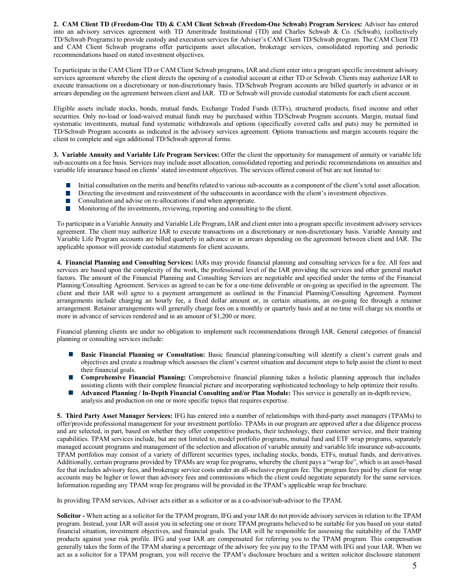**2. CAM Client TD (Freedom-One TD) & CAM Client Schwab (Freedom-One Schwab) Program Services:** Adviser has entered into an advisory services agreement with TD Ameritrade Institutional (TD) and Charles Schwab & Co. (Schwab), (collectively TD/Schwab Programs) to provide custody and execution services for Adviser's CAM Client TD/Schwab program. The CAM Client TD and CAM Client Schwab programs offer participants asset allocation, brokerage services, consolidated reporting and periodic recommendations based on stated investment objectives.

To participate in the CAM Client TD or CAM Client Schwab programs, IAR and client enter into a program specific investment advisory services agreement whereby the client directs the opening of a custodial account at either TD or Schwab. Clients may authorize IAR to execute transactions on a discretionary or non-discretionary basis. TD/Schwab Program accounts are billed quarterly in advance or in arrears depending on the agreement between client and IAR. TD or Schwab will provide custodial statements for each client account.

Eligible assets include stocks, bonds, mutual funds, Exchange Traded Funds (ETFs), structured products, fixed income and other securities. Only no-load or load-waived mutual funds may be purchased within TD/Schwab Program accounts. Margin, mutual fund systematic investments, mutual fund systematic withdrawals and options (specifically covered calls and puts) may be permitted in TD/Schwab Program accounts as indicated in the advisory services agreement. Options transactions and margin accounts require the client to complete and sign additional TD/Schwab approval forms.

**3. Variable Annuity and Variable Life Program Services:** Offer the client the opportunity for management of annuity or variable life sub-accounts on a fee basis. Services may include asset allocation, consolidated reporting and periodic recommendations on annuities and variable life insurance based on clients' stated investment objectives. The services offered consist of but are not limited to:

- Initial consultation on the merits and benefits related to various sub-accounts as a component of the client's total asset allocation.
- $\Box$ Directing the investment and reinvestment of the subaccounts in accordance with the client's investment objectives.
- $\Box$ Consultation and advise on re-allocations if and when appropriate.
- $\Box$ Monitoring of the investments, reviewing, reporting and consulting to the client.

To participate in a Variable Annuity and Variable Life Program, IAR and client enter into a program specific investment advisory services agreement. The client may authorize IAR to execute transactions on a discretionary or non-discretionary basis. Variable Annuity and Variable Life Program accounts are billed quarterly in advance or in arrears depending on the agreement between client and IAR. The applicable sponsor will provide custodial statements for client accounts.

**4. Financial Planning and Consulting Services:** IARs may provide financial planning and consulting services for a fee. All fees and services are based upon the complexity of the work, the professional level of the IAR providing the services and other general market factors. The amount of the Financial Planning and Consulting Services are negotiable and specified under the terms of the Financial Planning/Consulting Agreement. Services as agreed to can be for a one-time deliverable or on-going as specified in the agreement. The client and their IAR will agree to a payment arrangement as outlined in the Financial Planning/Consulting Agreement. Payment arrangements include charging an hourly fee, a fixed dollar amount or, in certain situations, an on-going fee through a retainer arrangement. Retainer arrangements will generally charge fees on a monthly or quarterly basis and at no time will charge six months or more in advance of services rendered and in an amount of \$1,200 or more.

Financial planning clients are under no obligation to implement such recommendations through IAR. General categories of financial planning or consulting services include:

- **Basic Financial Planning or Consultation:** Basic financial planning/consulting will identify a client's current goals and objectives and create a roadmap which assesses the client's current situation and document steps to help assist the client to meet their financial goals.
- **Tale Comprehensive Financial Planning:** Comprehensive financial planning takes a holistic planning approach that includes assisting clients with their complete financial picture and incorporating sophisticated technology to help optimize their results.
- $\mathcal{L}_{\mathcal{A}}$ **Advanced Planning / In-Depth Financial Consulting and/or Plan Module:** This service is generally an in-depth review, analysis and production on one or more specific topics that requires expertise.

**5. Third Party Asset Manager Services:** IFG has entered into a number of relationships with third-party asset managers (TPAMs) to offer/provide professional management for your investment portfolio. TPAMs in our program are approved after a due diligence process and are selected, in part, based on whether they offer competitive products, their technology, their customer service, and their training capabilities. TPAM services include, but are not limited to, model portfolio programs, mutual fund and ETF wrap programs, separately managed account programs and management of the selection and allocation of variable annuity and variable life insurance sub-accounts. TPAM portfolios may consist of a variety of different securities types, including stocks, bonds, ETFs, mutual funds, and derivatives. Additionally, certain programs provided by TPAMs are wrap fee programs, whereby the client pays a "wrap fee", which is an asset-based fee that includes advisory fees, and brokerage service costs under an all-inclusive program fee. The program fees paid by client for wrap accounts may be higher or lower than advisory fees and commissions which the client could negotiate separately for the same services. Information regarding any TPAM wrap fee programs will be provided in the TPAM's applicable wrap fee brochure.

In providing TPAM services, Adviser acts either as a solicitor or as a co-advisor/sub-advisor to the TPAM.

**Solicitor -** When acting as a solicitor for the TPAM program, IFG and your IAR do not provide advisory services in relation to the TPAM program. Instead, your IAR will assist you in selecting one or more TPAM programs believed to be suitable for you based on your stated financial situation, investment objectives, and financial goals. The IAR will be responsible for assessing the suitability of the TAMP products against your risk profile. IFG and your IAR are compensated for referring you to the TPAM program. This compensation generally takes the form of the TPAM sharing a percentage of the advisory fee you pay to the TPAM with IFG and your IAR. When we act as a solicitor for a TPAM program, you will receive the TPAM's disclosure brochure and a written solicitor disclosure statement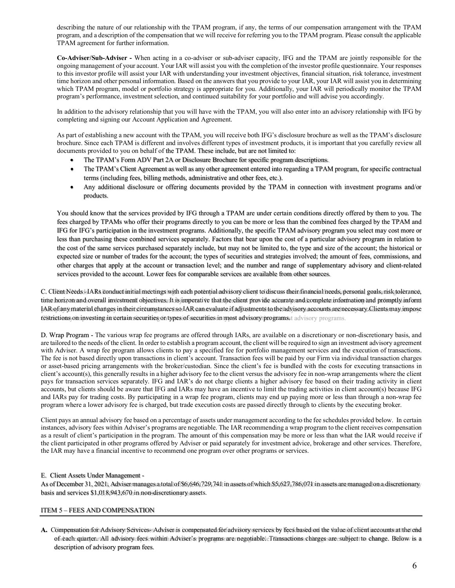describing the nature of our relationship with the TPAM program, if any, the terms of our compensation arrangement with the TPAM program, and a description of the compensation that we will receive for referring you to the TPAM program. Please consult the applicable TPAM agreement for further information.

**Co-Adviser/Sub-Adviser -** When acting in a co-adviser or sub-adviser capacity, IFG and the TPAM are jointly responsible for the ongoing management of your account. Your IAR will assist you with the completion of the investor profile questionnaire. Your responses to this investor profile will assist your IAR with understanding your investment objectives, financial situation, risk tolerance, investment time horizon and other personal information. Based on the answers that you provide to your IAR, your IAR will assist you in determining which TPAM program, model or portfolio strategy is appropriate for you. Additionally, your IAR will periodically monitor the TPAM program's performance, investment selection, and continued suitability for your portfolio and will advise you accordingly.

In addition to the advisory relationship that you will have with the TPAM, you will also enter into an advisory relationship with IFG by completing and signing our Account Application and Agreement.

As part of establishing a new account with the TPAM, you will receive both IFG's disclosure brochure as well as the TPAM's disclosure brochure. Since each TPAM is different and involves different types of investment products, it is important that you carefully review all documents provided to you on behalf of the TPAM. These include, but are not limited to:

- The TPAM's Form ADV Part 2A or Disclosure Brochure for specific program descriptions.
- The TPAM's Client Agreement as well as any other agreement entered into regarding a TPAM program, forspecific contractual terms (including fees, billing methods, administrative and other fees, etc.).
- Any additional disclosure or offering documents provided by the TPAM in connection with investment programs and/or products.

You should know that the services provided by IFG through a TPAM are under certain conditions directly offered by them to you. The fees charged by TPAMs who offer their programs directly to you can be more or less than the combined fees charged by the TPAM and IFG for IFG's participation in the investment programs. Additionally, the specific TPAM advisory program you select may cost more or less than purchasing these combined services separately. Factors that bear upon the cost of a particular advisory program in relation to the cost of the same services purchased separately include, but may not be limited to, the type and size of the account; the historical or expected size or number of trades for the account; the types of securities and strategies involved; the amount of fees, commissions, and other charges that apply at the account or transaction level; and the number and range of supplementary advisory and client-related services provided to the account. Lower fees for comparable services are available from other sources.

C. Client Needs - IARs conduct initial meetings with each potential advisory client to discuss their financial needs, personal goals, risk tolerance, time horizon and overall investment objectives. It is imperative that the client provide accurate and complete information and promptly inform IAR of any material changes in their circumstances so IAR can evaluate if adjustments to the advisory accounts are necessary.Clients may impose restrictions on investing in certain securities on types iof securities in most advisory programs. advisory programs.

D. Wrap Program - The various wrap fee programs are offered through IARs, are available on a discretionary or non-discretionary basis, and are tailored to the needs of the client. In order to establish a program account, the client will be required to sign an investment advisory agreement with Adviser. A wrap fee program allows clients to pay a specified fee for portfolio management services and the execution of transactions. The fee is not based directly upon transactions in client's account. Transaction fees will be paid by our Firm via individual transaction charges or asset-based pricing arrangements with the broker/custodian. Since the client's fee is bundled with the costs for executing transactions in client's account(s), this generally results in a higher advisory fee to the client versus the advisory fee in non-wrap arrangements where the client pays for transaction services separately. IFG and IAR's do not charge clients a higher advisory fee based on their trading activity in client accounts, but clients should be aware that IFG and IARs may have an incentive to limit the trading activities in client account(s) because IFG and IARs pay for trading costs. By participating in a wrap fee program, clients may end up paying more or less than through a non-wrap fee program where a lower advisory fee is charged, but trade execution costs are passed directly through to clients by the executing broker.

Client pays an annual advisory fee based on a percentage of assets under management according to the fee schedules provided below. In certain instances, advisory fees within Adviser's programs are negotiable. The IAR recommending a wrap program to the client receives compensation as a result of client's participation in the program. The amount of this compensation may be more or less than what the IAR would receive if the client participated in other programs offered by Adviser or paid separately for investment advice, brokerage and other services. Therefore, the IAR may have a financial incentive to recommend one program over other programs or services.

## E. Client Assets Under Management -

As of December 31, 2021, Adviser manages a total of \$6,646,729,741 in assets of which \$5,627,786,071 in assets are managed on a discretionary basis and services \$1,018,943,670 in non-discretionary assets.

## ITEM 5 – FEES AND COMPENSATION

**A.** Compensation for Advisory Services- Adviser is compensated for advisory services by fees based on the value of client accounts at the end of each quarter. All advisory fees within Adviser's programs are negotiable. Transactions charges are subject to change. Below is a description of advisory program fees.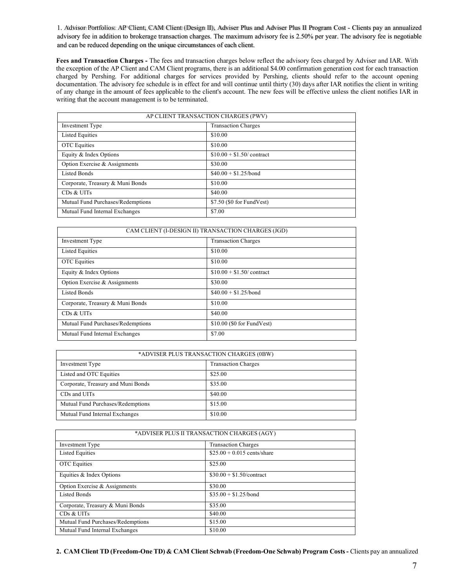1. Advisor Portfolios: AP Client, CAM Client (Design II), Adviser Plus and Adviser Plus II Program Cost - Clients pay an annualized advisory fee in addition to brokerage transaction charges. The maximum advisory fee is 2.50% per year. The advisory fee is negotiable and can be reduced depending on the unique circumstances of each client.

**Fees and Transaction Charges -** The fees and transaction charges below reflect the advisory fees charged by Adviser and IAR. With the exception of the AP Client and CAM Client programs, there is an additional \$4.00 confirmation generation cost for each transaction charged by Pershing. For additional charges for services provided by Pershing, clients should refer to the account opening documentation. The advisory fee schedule is in effect for and will continue until thirty (30) days after IAR notifies the client in writing of any change in the amount of fees applicable to the client's account. The new fees will be effective unless the client notifies IAR in writing that the account management is to be terminated.

| AP CLIENT TRANSACTION CHARGES (PWV) |                            |  |
|-------------------------------------|----------------------------|--|
| Investment Type                     | <b>Transaction Charges</b> |  |
| <b>Listed Equities</b>              | \$10.00                    |  |
| <b>OTC</b> Equities                 | \$10.00                    |  |
| Equity & Index Options              | $$10.00 + $1.50$ contract  |  |
| Option Exercise & Assignments       | \$30.00                    |  |
| <b>Listed Bonds</b>                 | $$40.00 + $1.25/b$ ond     |  |
| Corporate, Treasury & Muni Bonds    | \$10.00                    |  |
| CDs & UITs                          | \$40.00                    |  |
| Mutual Fund Purchases/Redemptions   | \$7.50 (\$0 for FundVest)  |  |
| Mutual Fund Internal Exchanges      | \$7.00                     |  |

| CAM CLIENT (I-DESIGN II) TRANSACTION CHARGES (JGD) |                             |  |
|----------------------------------------------------|-----------------------------|--|
| Investment Type                                    | <b>Transaction Charges</b>  |  |
| <b>Listed Equities</b>                             | \$10.00                     |  |
| <b>OTC</b> Equities                                | \$10.00                     |  |
| Equity & Index Options                             | $$10.00 + $1.50$ contract   |  |
| Option Exercise & Assignments                      | \$30.00                     |  |
| <b>Listed Bonds</b>                                | $$40.00 + $1.25/b$ ond      |  |
| Corporate, Treasury & Muni Bonds                   | \$10.00                     |  |
| CDs & UITs                                         | \$40.00                     |  |
| Mutual Fund Purchases/Redemptions                  | $$10.00$ (\$0 for FundVest) |  |
| Mutual Fund Internal Exchanges                     | \$7.00                      |  |

| *ADVISER PLUS TRANSACTION CHARGES (0BW) |                            |  |
|-----------------------------------------|----------------------------|--|
| Investment Type                         | <b>Transaction Charges</b> |  |
| Listed and OTC Equities                 | \$25.00                    |  |
| Corporate, Treasury and Muni Bonds      | \$35.00                    |  |
| CDs and UITs                            | \$40.00                    |  |
| Mutual Fund Purchases/Redemptions       | \$15.00                    |  |
| Mutual Fund Internal Exchanges          | \$10.00                    |  |

| *ADVISER PLUS II TRANSACTION CHARGES (AGY) |                              |  |
|--------------------------------------------|------------------------------|--|
| <b>Investment Type</b>                     | <b>Transaction Charges</b>   |  |
| <b>Listed Equities</b>                     | $$25.00 + 0.015$ cents/share |  |
| <b>OTC</b> Equities                        | \$25.00                      |  |
| Equities & Index Options                   | $$30.00 + $1.50$ /contract   |  |
| Option Exercise & Assignments              | \$30.00                      |  |
| <b>Listed Bonds</b>                        | $$35.00 + $1.25/b$ ond       |  |
| Corporate, Treasury & Muni Bonds           | \$35.00                      |  |
| CDs & UITs                                 | \$40.00                      |  |
| Mutual Fund Purchases/Redemptions          | \$15.00                      |  |
| Mutual Fund Internal Exchanges             | \$10.00                      |  |

**2. CAM Client TD (Freedom-One TD) & CAM Client Schwab (Freedom-One Schwab) Program Costs-** Clients pay an annualized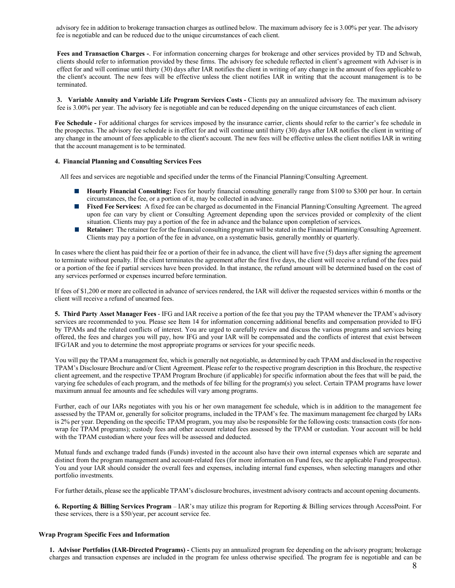advisory fee in addition to brokerage transaction charges as outlined below. The maximum advisory fee is 3.00% per year. The advisory fee is negotiable and can be reduced due to the unique circumstances of each client.

**Fees and Transaction Charges -**. For information concerning charges for brokerage and other services provided by TD and Schwab, clients should refer to information provided by these firms. The advisory fee schedule reflected in client's agreement with Adviser is in effect for and will continue until thirty (30) days after IAR notifies the client in writing of any change in the amount of fees applicable to the client's account. The new fees will be effective unless the client notifies IAR in writing that the account management is to be terminated.

**3. Variable Annuity and Variable Life Program Services Costs -** Clients pay an annualized advisory fee. The maximum advisory fee is 3.00% per year. The advisory fee is negotiable and can be reduced depending on the unique circumstances of each client.

**Fee Schedule -** For additional charges for services imposed by the insurance carrier, clients should refer to the carrier's fee schedule in the prospectus. The advisory fee schedule is in effect for and will continue until thirty (30) days after IAR notifies the client in writing of any change in the amount of fees applicable to the client's account. The new fees will be effective unless the client notifies IAR in writing that the account management is to be terminated.

#### **4. Financial Planning and Consulting Services Fees**

All fees and services are negotiable and specified under the terms of the Financial Planning/Consulting Agreement.

- **Hourly Financial Consulting:** Fees for hourly financial consulting generally range from \$100 to \$300 per hour. In certain circumstances, the fee, or a portion of it, may be collected in advance.
- **Fixed Fee Services:** A fixed fee can be charged as documented in the Financial Planning/Consulting Agreement. The agreed upon fee can vary by client or Consulting Agreement depending upon the services provided or complexity of the client situation. Clients may pay a portion of the fee in advance and the balance upon completion of services.
- **Retainer:** The retainer fee for the financial consulting program will be stated in the Financial Planning/Consulting Agreement. П Clients may pay a portion of the fee in advance, on a systematic basis, generally monthly or quarterly.

In cases where the client has paid their fee or a portion of their fee in advance, the client will have five (5) days after signing the agreement to terminate without penalty. If the client terminates the agreement after the first five days, the client will receive a refund of the fees paid or a portion of the fee if partial services have been provided. In that instance, the refund amount will be determined based on the cost of any services performed or expenses incurred before termination.

If fees of \$1,200 or more are collected in advance of services rendered, the IAR will deliver the requested services within 6 months or the client will receive a refund of unearned fees.

**5. Third Party Asset Manager Fees** - IFG and IAR receive a portion of the fee that you pay the TPAM whenever the TPAM's advisory services are recommended to you. Please see Item 14 for information concerning additional benefits and compensation provided to IFG by TPAMs and the related conflicts of interest. You are urged to carefully review and discuss the various programs and services being offered, the fees and charges you will pay, how IFG and your IAR will be compensated and the conflicts of interest that exist between IFG/IAR and you to determine the most appropriate programs or services for your specific needs.

You will pay the TPAM a management fee, which is generally not negotiable, as determined by each TPAM and disclosed in the respective TPAM's Disclosure Brochure and/or Client Agreement. Please refer to the respective program description in this Brochure, the respective client agreement, and the respective TPAM Program Brochure (if applicable) for specific information about the fees that will be paid, the varying fee schedules of each program, and the methods of fee billing for the program(s) you select. Certain TPAM programs have lower maximum annual fee amounts and fee schedules will vary among programs.

Further, each of our IARs negotiates with you his or her own management fee schedule, which is in addition to the management fee assessed by the TPAM or, generally for solicitor programs, included in the TPAM's fee. The maximum management fee charged by IARs is 2% per year. Depending on the specific TPAM program, you may also be responsible for the following costs: transaction costs (for nonwrap fee TPAM programs); custody fees and other account related fees assessed by the TPAM or custodian. Your account will be held with the TPAM custodian where your fees will be assessed and deducted.

Mutual funds and exchange traded funds (Funds) invested in the account also have their own internal expenses which are separate and distinct from the program management and account-related fees (for more information on Fund fees, see the applicable Fund prospectus). You and your IAR should consider the overall fees and expenses, including internal fund expenses, when selecting managers and other portfolio investments.

For further details, please see the applicable TPAM's disclosure brochures, investment advisory contracts and account opening documents.

**6. Reporting & Billing Services Program** – IAR's may utilize this program for Reporting & Billing services through AccessPoint. For these services, there is a \$50/year, per account service fee.

#### **Wrap Program Specific Fees and Information**

**1. Advisor Portfolios (IAR-Directed Programs) -** Clients pay an annualized program fee depending on the advisory program; brokerage charges and transaction expenses are included in the program fee unless otherwise specified. The program fee is negotiable and can be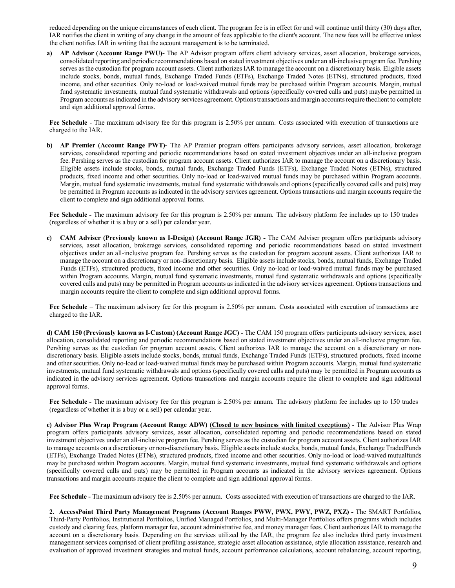reduced depending on the unique circumstances of each client. The program fee is in effect for and will continue until thirty (30) days after, IAR notifies the client in writing of any change in the amount of fees applicable to the client's account. The new fees will be effective unless the client notifies IAR in writing that the account management is to be terminated.

**a) AP Advisor (Account Range PWU)-** The AP Advisor program offers client advisory services, asset allocation, brokerage services, consolidated reporting and periodic recommendations based on stated investment objectives under an all-inclusive program fee. Pershing serves as the custodian for program account assets. Client authorizes IAR to manage the account on a discretionary basis. Eligible assets include stocks, bonds, mutual funds, Exchange Traded Funds (ETFs), Exchange Traded Notes (ETNs), structured products, fixed income, and other securities. Only no-load or load-waived mutual funds may be purchased within Program accounts. Margin, mutual fund systematic investments, mutual fund systematic withdrawals and options (specifically covered calls and puts) maybe permitted in Program accounts as indicated in the advisory services agreement. Options transactions and margin accounts require the client to complete and sign additional approval forms.

**Fee Schedule** - The maximum advisory fee for this program is 2.50% per annum. Costs associated with execution of transactions are charged to the IAR.

**b) AP Premier (Account Range PWT)-** The AP Premier program offers participants advisory services, asset allocation, brokerage services, consolidated reporting and periodic recommendations based on stated investment objectives under an all-inclusive program fee. Pershing serves as the custodian for program account assets. Client authorizes IAR to manage the account on a discretionary basis. Eligible assets include stocks, bonds, mutual funds, Exchange Traded Funds (ETFs), Exchange Traded Notes (ETNs), structured products, fixed income and other securities. Only no-load or load-waived mutual funds may be purchased within Program accounts. Margin, mutual fund systematic investments, mutual fund systematic withdrawals and options (specifically covered calls and puts) may be permitted in Program accounts as indicated in the advisory services agreement. Options transactions and margin accounts require the client to complete and sign additional approval forms.

**Fee Schedule -** The maximum advisory fee for this program is 2.50% per annum. The advisory platform fee includes up to 150 trades (regardless of whether it is a buy or a sell) per calendar year.

**c) CAM Adviser (Previously known as I-Design) (Account Range JGR) -** The CAM Adviser program offers participants advisory services, asset allocation, brokerage services, consolidated reporting and periodic recommendations based on stated investment objectives under an all-inclusive program fee. Pershing serves as the custodian for program account assets. Client authorizes IAR to manage the account on a discretionary or non-discretionary basis. Eligible assets include stocks, bonds, mutual funds, Exchange Traded Funds (ETFs), structured products, fixed income and other securities. Only no-load or load-waived mutual funds may be purchased within Program accounts. Margin, mutual fund systematic investments, mutual fund systematic withdrawals and options (specifically covered calls and puts) may be permitted in Program accounts as indicated in the advisory services agreement. Options transactions and margin accounts require the client to complete and sign additional approval forms.

**Fee Schedule** – The maximum advisory fee for this program is 2.50% per annum. Costs associated with execution of transactions are charged to the IAR.

**d) CAM 150 (Previously known as I-Custom) (Account Range JGC) -** The CAM 150 program offers participants advisory services, asset allocation, consolidated reporting and periodic recommendations based on stated investment objectives under an all-inclusive program fee. Pershing serves as the custodian for program account assets. Client authorizes IAR to manage the account on a discretionary or nondiscretionary basis. Eligible assets include stocks, bonds, mutual funds, Exchange Traded Funds (ETFs), structured products, fixed income and other securities. Only no-load or load-waived mutual funds may be purchased within Program accounts. Margin, mutual fund systematic investments, mutual fund systematic withdrawals and options (specifically covered calls and puts) may be permitted in Program accounts as indicated in the advisory services agreement. Options transactions and margin accounts require the client to complete and sign additional approval forms.

**Fee Schedule -** The maximum advisory fee for this program is 2.50% per annum. The advisory platform fee includes up to 150 trades (regardless of whether it is a buy or a sell) per calendar year.

**e) Advisor Plus Wrap Program (Account Range ADW) (Closed to new business with limited exceptions)** - The Advisor Plus Wrap program offers participants advisory services, asset allocation, consolidated reporting and periodic recommendations based on stated investment objectives under an all-inclusive program fee. Pershing serves as the custodian for program account assets. Client authorizes IAR to manage accounts on a discretionary or non-discretionary basis. Eligible assets include stocks, bonds, mutual funds, Exchange Traded Funds (ETFs), Exchange Traded Notes (ETNs), structured products, fixed income and other securities. Only no-load or load-waived mutual funds may be purchased within Program accounts. Margin, mutual fund systematic investments, mutual fund systematic withdrawals and options (specifically covered calls and puts) may be permitted in Program accounts as indicated in the advisory services agreement. Options transactions and margin accounts require the client to complete and sign additional approval forms.

**Fee Schedule -** The maximum advisory fee is 2.50% per annum. Costs associated with execution of transactions are charged to the IAR.

**2. AccessPoint Third Party Management Programs (Account Ranges PWW, PWX, PWY, PWZ, PXZ) -** The SMART Portfolios, Third-Party Portfolios, Institutional Portfolios, Unified Managed Portfolios, and Multi-Manager Portfolios offers programs which includes custody and clearing fees, platform manager fee, account administrative fee, and money manager fees. Client authorizes IAR to manage the account on a discretionary basis. Depending on the services utilized by the IAR, the program fee also includes third party investment management services comprised of client profiling assistance, strategic asset allocation assistance, style allocation assistance, research and evaluation of approved investment strategies and mutual funds, account performance calculations, account rebalancing, account reporting,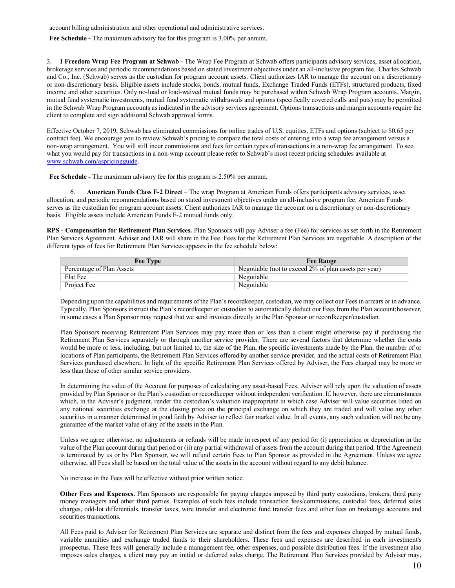account billing administration and other operational and administrative services.

**Fee Schedule -** The maximum advisory fee for this program is 3.00% per annum.

3. **I Freedom Wrap Fee Program at Schwab -** The Wrap Fee Program at Schwab offers participants advisory services, asset allocation, brokerage services and periodic recommendations based on stated investment objectives under an all-inclusive program fee. Charles Schwab and Co., Inc. (Schwab) serves as the custodian for program account assets. Client authorizes IAR to manage the account on a discretionary or non-discretionary basis. Eligible assets include stocks, bonds, mutual funds, Exchange Traded Funds (ETFs), structured products, fixed income and other securities. Only no-load or load-waived mutual funds may be purchased within Schwab Wrap Program accounts. Margin, mutual fund systematic investments, mutual fund systematic withdrawals and options (specifically covered calls and puts) may be permitted in the Schwab Wrap Program accounts asindicated in the advisory services agreement. Options transactions and margin accounts require the client to complete and sign additional Schwab approval forms.

Effective October 7, 2019, Schwab has eliminated commissions for online trades of U.S. equities, ETFs and options (subject to \$0.65 per contract fee). We encourage you to review Schwab's pricing to compare the total costs of entering into a wrap fee arrangement versus a non-wrap arrangement. You will still incur commissions and fees for certain types of transactions in a non-wrap fee arrangement. To see what you would pay for transactions in a non-wrap account please refer to Schwab's most recent pricing schedules available at [www.schwab.com/aspricingguide.](http://www.schwab.com/aspricingguide)

**Fee Schedule -** The maximum advisory fee for this program is 2.50% per annum.

6. **American Funds Class F-2 Direct** – The wrap Program at American Funds offers participants advisory services, asset allocation, and periodic recommendations based on stated investment objectives under an all-inclusive program fee. American Funds serves as the custodian for program account assets. Client authorizes IAR to manage the account on a discretionary or non-discretionary basis. Eligible assets include American Funds F-2 mutual funds only.

**RPS - Compensation for Retirement Plan Services.** Plan Sponsors will pay Adviser a fee (Fee) for services as set forth in the Retirement Plan Services Agreement. Adviser and IAR will share in the Fee. Fees for the Retirement Plan Services are negotiable. A description of the different types of fees for Retirement Plan Services appears in the fee schedule below:

| <b>Fee Type</b>           | <b>Fee Range</b>                                      |
|---------------------------|-------------------------------------------------------|
| Percentage of Plan Assets | Negotiable (not to exceed 2% of plan assets per year) |
| Flat Fee                  | Negotiable                                            |
| Project Fee               | Negotiable                                            |

Depending upon the capabilities and requirements of the Plan's recordkeeper, custodian, we may collect our Fees in arrears or in advance. Typically, Plan Sponsors instruct the Plan's recordkeeper or custodian to automatically deduct our Fees from the Plan account; however, in some cases a Plan Sponsor may request that we send invoices directly to the Plan Sponsor or recordkeeper/custodian.

Plan Sponsors receiving Retirement Plan Services may pay more than or less than a client might otherwise pay if purchasing the Retirement Plan Services separately or through another service provider. There are several factors that determine whether the costs would be more or less, including, but not limited to, the size of the Plan, the specific investments made by the Plan, the number of or locations of Plan participants, the Retirement Plan Services offered by another service provider, and the actual costs of Retirement Plan Services purchased elsewhere. In light of the specific Retirement Plan Services offered by Adviser, the Fees charged may be more or less than those of other similar service providers.

In determining the value of the Account for purposes of calculating any asset-based Fees, Adviser will rely upon the valuation of assets provided by Plan Sponsor or the Plan's custodian or recordkeeper without independent verification. If, however, there are circumstances which, in the Adviser's judgment, render the custodian's valuation inappropriate in which case Adviser will value securities listed on any national securities exchange at the closing price on the principal exchange on which they are traded and will value any other securities in a manner determined in good faith by Adviser to reflect fair market value. In all events, any such valuation will not be any guarantee of the market value of any of the assets in the Plan.

Unless we agree otherwise, no adjustments or refunds will be made in respect of any period for (i) appreciation or depreciation in the value of the Plan account during that period or (ii) any partial withdrawal of assets from the account during that period. If the Agreement is terminated by us or by Plan Sponsor, we will refund certain Fees to Plan Sponsor as provided in the Agreement. Unless we agree otherwise, all Fees shall be based on the total value of the assets in the account without regard to any debit balance.

No increase in the Fees will be effective without prior written notice.

**Other Fees and Expenses.** Plan Sponsors are responsible for paying charges imposed by third party custodians, brokers, third party money managers and other third parties. Examples of such fees include transaction fees/commissions, custodial fees, deferred sales charges, odd-lot differentials, transfer taxes, wire transfer and electronic fund transfer fees and other fees on brokerage accounts and securities transactions.

All Fees paid to Adviser for Retirement Plan Services are separate and distinct from the fees and expenses charged by mutual funds, variable annuities and exchange traded funds to their shareholders. These fees and expenses are described in each investment's prospectus. These fees will generally include a management fee, other expenses, and possible distribution fees. If the investment also imposes sales charges, a client may pay an initial or deferred sales charge. The Retirement Plan Services provided by Adviser may,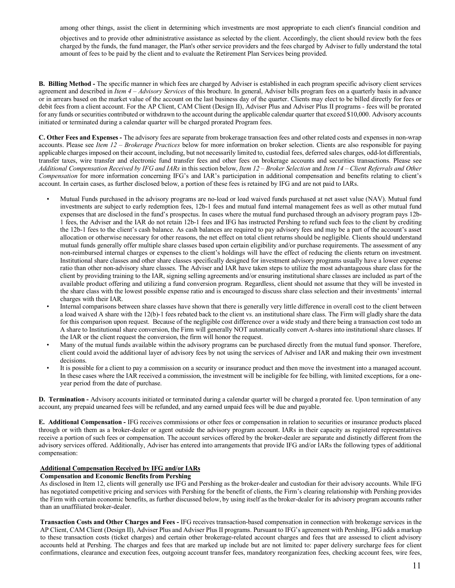among other things, assist the client in determining which investments are most appropriate to each client's financial condition and

objectives and to provide other administrative assistance as selected by the client. Accordingly, the client should review both the fees charged by the funds, the fund manager, the Plan's other service providers and the fees charged by Adviser to fully understand the total amount of fees to be paid by the client and to evaluate the Retirement Plan Services being provided.

**B. Billing Method -** The specific manner in which fees are charged by Adviser is established in each program specific advisory client services agreement and described in *Item 4 – Advisory Services* of this brochure. In general, Adviser bills program fees on a quarterly basis in advance or in arrears based on the market value of the account on the last business day of the quarter. Clients may elect to be billed directly for fees or debit fees from a client account. For the AP Client, CAM Client (Design II), Adviser Plus and Adviser Plus II programs - fees will be prorated for any funds or securities contributed or withdrawn to the account during the applicable calendar quarter that exceed \$10,000. Advisory accounts initiated or terminated during a calendar quarter will be charged prorated Program fees.

**C. Other Fees and Expenses -** The advisory fees are separate from brokerage transaction fees and other related costs and expenses in non-wrap accounts. Please see *Item 12 – Brokerage Practices* below for more information on broker selection. Clients are also responsible for paying applicable chargesimposed on their account, including, but not necessarily limited to, custodial fees, deferred sales charges, odd-lot differentials, transfer taxes, wire transfer and electronic fund transfer fees and other fees on brokerage accounts and securities transactions. Please see *Additional Compensation Received by IFG and IARs* in this section below, *Item 12 – Broker Selection* and *Item 14 – Client Referrals and Other Compensation* for more information concerning IFG's and IAR's participation in additional compensation and benefits relating to client's account. In certain cases, as further disclosed below, a portion of these fees is retained by IFG and are not paid to IARs.

- Mutual Funds purchased in the advisory programs are no-load or load waived funds purchased at net asset value (NAV). Mutual fund investments are subject to early redemption fees, 12b-1 fees and mutual fund internal management fees as well as other mutual fund expenses that are disclosed in the fund's prospectus. In cases where the mutual fund purchased through an advisory program pays 12b-1 fees, the Adviser and the IAR do not retain 12b-1 fees and IFG has instructed Pershing to refund such fees to the client by crediting the 12b-1 fees to the client's cash balance. As cash balances are required to pay advisory fees and may be a part of the account's asset allocation or otherwise necessary for other reasons, the net effect on total client returns should be negligible. Clients should understand mutual funds generally offer multiple share classes based upon certain eligibility and/or purchase requirements. The assessment of any non-reimbursed internal charges or expenses to the client's holdings will have the effect of reducing the clients return on investment. Institutional share classes and other share classes specifically designed for investment advisory programs usually have a lower expense ratio than other non-advisory share classes. The Adviser and IAR have taken steps to utilize the most advantageous share class for the client by providing training to the IAR, signing selling agreements and/or ensuring institutional share classes are included as part of the available product offering and utilizing a fund conversion program. Regardless, client should not assume that they will be invested in the share class with the lowest possible expense ratio and is encouraged to discuss share class selection and their investments' internal charges with their IAR.
- Internal comparisons between share classes have shown that there is generally very little difference in overall cost to the client between a load waived A share with the 12(b)-1 fees rebated back to the client vs. an institutional share class. The Firm will gladly share the data for this comparison upon request. Because of the negligible cost difference over a wide study and there being a transaction cost todo an A share to Institutional share conversion, the Firm will generally NOT automatically convert A-shares into institutional share classes. If the IAR or the client request the conversion, the firm will honor the request.
- Many of the mutual funds available within the advisory programs can be purchased directly from the mutual fund sponsor. Therefore, client could avoid the additional layer of advisory fees by not using the services of Adviser and IAR and making their own investment decisions.
- It is possible for a client to pay a commission on a security or insurance product and then move the investment into a managed account. In these cases where the IAR received a commission, the investment will be ineligible for fee billing, with limited exceptions, for a oneyear period from the date of purchase.

**D. Termination -** Advisory accounts initiated or terminated during a calendar quarter will be charged a prorated fee. Upon termination of any account, any prepaid unearned fees will be refunded, and any earned unpaid fees will be due and payable.

**E. Additional Compensation -** IFG receives commissions or other fees or compensation in relation to securities or insurance products placed through or with them as a broker-dealer or agent outside the advisory program account. IARs in their capacity as registered representatives receive a portion of such fees or compensation. The account services offered by the broker-dealer are separate and distinctly different from the advisory services offered. Additionally, Adviser has entered into arrangements that provide IFG and/or IARs the following types of additional compensation:

## **Additional Compensation Received by IFG and/or IARs**

## **Compensation and Economic Benefits from Pershing**

As disclosed in Item 12, clients will generally use IFG and Pershing as the broker-dealer and custodian for their advisory accounts. While IFG has negotiated competitive pricing and services with Pershing for the benefit of clients, the Firm's clearing relationship with Pershing provides the Firm with certain economic benefits, as further discussed below, by using itself as the broker-dealer for its advisory program accounts rather than an unaffiliated broker-dealer.

**Transaction Costs and Other Charges and Fees -** IFG receives transaction-based compensation in connection with brokerage services in the AP Client, CAM Client (Design II), Adviser Plus and Adviser Plus II programs. Pursuant to IFG's agreement with Pershing, IFG adds a markup to these transaction costs (ticket charges) and certain other brokerage-related account charges and fees that are assessed to client advisory accounts held at Pershing. The charges and fees that are marked up include but are not limited to: paper delivery surcharge fees for client confirmations, clearance and execution fees, outgoing account transfer fees, mandatory reorganization fees, checking account fees, wire fees,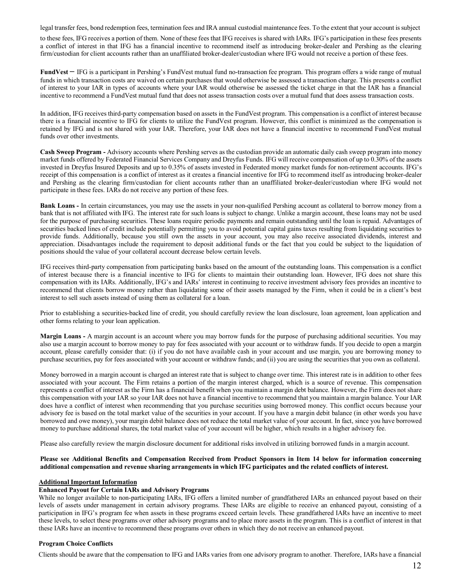legal transfer fees, bond redemption fees, termination fees and IRA annual custodial maintenance fees. To the extent that your account is subject

to these fees, IFG receives a portion of them. None of these fees that IFG receives is shared with IARs. IFG's participation in these fees presents a conflict of interest in that IFG has a financial incentive to recommend itself as introducing broker-dealer and Pershing as the clearing firm/custodian for client accounts rather than an unaffiliated broker-dealer/custodian where IFG would not receive a portion of these fees.

**FundVest** – IFG is a participant in Pershing's FundVest mutual fund no-transaction fee program. This program offers a wide range of mutual funds in which transaction costs are waived on certain purchases that would otherwise be assessed a transaction charge. This presents a conflict of interest to your IAR in types of accounts where your IAR would otherwise be assessed the ticket charge in that the IAR has a financial incentive to recommend a FundVest mutual fund that does not assess transaction costs over a mutual fund that does assess transaction costs.

In addition, IFG receives third-party compensation based on assets in the FundVest program. This compensation is a conflict of interest because there is a financial incentive to IFG for clients to utilize the FundVest program. However, this conflict is minimized as the compensation is retained by IFG and is not shared with your IAR. Therefore, your IAR does not have a financial incentive to recommend FundVest mutual funds over other investments.

**Cash Sweep Program -** Advisory accounts where Pershing serves as the custodian provide an automatic daily cash sweep program into money market funds offered by Federated Financial Services Company and Dreyfus Funds. IFG will receive compensation of up to 0.30% of the assets invested in Dreyfus Insured Deposits and up to 0.35% of assets invested in Federated money market funds for non-retirement accounts. IFG's receipt of this compensation is a conflict of interest as it creates a financial incentive for IFG to recommend itself as introducing broker-dealer and Pershing as the clearing firm/custodian for client accounts rather than an unaffiliated broker-dealer/custodian where IFG would not participate in these fees. IARs do not receive any portion of these fees.

**Bank Loans -** In certain circumstances, you may use the assets in your non-qualified Pershing account as collateral to borrow money from a bank that is not affiliated with IFG. The interest rate for such loans is subject to change. Unlike a margin account, these loans may not be used for the purpose of purchasing securities. These loans require periodic payments and remain outstanding until the loan is repaid. Advantages of securities backed lines of credit include potentially permitting you to avoid potential capital gains taxes resulting from liquidating securities to provide funds. Additionally, because you still own the assets in your account, you may also receive associated dividends, interest and appreciation. Disadvantages include the requirement to deposit additional funds or the fact that you could be subject to the liquidation of positions should the value of your collateral account decrease below certain levels.

IFG receives third-party compensation from participating banks based on the amount of the outstanding loans. This compensation is a conflict of interest because there is a financial incentive to IFG for clients to maintain their outstanding loan. However, IFG does not share this compensation with its IARs. Additionally, IFG's and IARs' interest in continuing to receive investment advisory fees provides an incentive to recommend that clients borrow money rather than liquidating some of their assets managed by the Firm, when it could be in a client's best interest to sell such assets instead of using them as collateral for a loan.

Prior to establishing a securities-backed line of credit, you should carefully review the loan disclosure, loan agreement, loan application and other forms relating to your loan application.

**Margin Loans -** A margin account is an account where you may borrow funds for the purpose of purchasing additional securities. You may also use a margin account to borrow money to pay for fees associated with your account or to withdraw funds. If you decide to open a margin account, please carefully consider that: (i) if you do not have available cash in your account and use margin, you are borrowing money to purchase securities, pay for fees associated with your account or withdraw funds; and (ii) you are using the securitiesthat you own as collateral.

Money borrowed in a margin account is charged an interest rate that is subject to change over time. This interest rate is in addition to other fees associated with your account. The Firm retains a portion of the margin interest charged, which is a source of revenue. This compensation represents a conflict of interest as the Firm has a financial benefit when you maintain a margin debt balance. However, the Firm does not share this compensation with your IAR so your IAR does not have a financial incentive to recommend that you maintain a margin balance. Your IAR does have a conflict of interest when recommending that you purchase securities using borrowed money. This conflict occurs because your advisory fee is based on the total market value of the securities in your account. If you have a margin debit balance (in other words you have borrowed and owe money), your margin debit balance does not reduce the total market value of your account. In fact, since you have borrowed money to purchase additional shares, the total market value of your account will be higher, which results in a higher advisory fee.

Please also carefully review the margin disclosure document for additional risks involved in utilizing borrowed funds in a margin account.

**Please see Additional Benefits and Compensation Received from Product Sponsors in Item 14 below for information concerning additional compensation and revenue sharing arrangements in which IFG participates and the related conflicts of interest.**

## **Additional Important Information**

# **Enhanced Payout for Certain IARs and Advisory Programs**

While no longer available to non-participating IARs, IFG offers a limited number of grandfathered IARs an enhanced payout based on their levels of assets under management in certain advisory programs. These IARs are eligible to receive an enhanced payout, consisting of a participation in IFG's program fee when assets in these programs exceed certain levels. These grandfathered IARs have an incentive to meet these levels, to select these programs over other advisory programs and to place more assets in the program. This is a conflict of interest in that these IARs have an incentive to recommend these programs over others in which they do not receive an enhanced payout.

## **Program Choice Conflicts**

Clients should be aware that the compensation to IFG and IARs varies from one advisory program to another. Therefore, IARs have a financial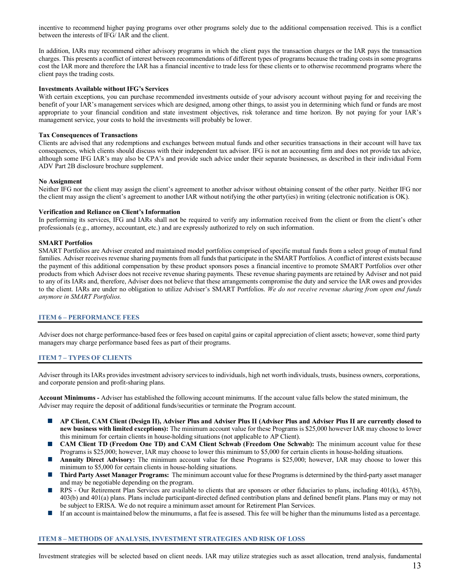incentive to recommend higher paying programs over other programs solely due to the additional compensation received. This is a conflict between the interests of IFG/ IAR and the client.

In addition, IARs may recommend either advisory programs in which the client pays the transaction charges or the IAR pays the transaction charges. This presents a conflict of interest between recommendations of different types of programs because the trading costsin some programs cost the IAR more and therefore the IAR has a financial incentive to trade less for these clients or to otherwise recommend programs where the client pays the trading costs.

#### **Investments Available without IFG's Services**

With certain exceptions, you can purchase recommended investments outside of your advisory account without paying for and receiving the benefit of your IAR's management services which are designed, among other things, to assist you in determining which fund or funds are most appropriate to your financial condition and state investment objectives, risk tolerance and time horizon. By not paying for your IAR's management service, your costs to hold the investments will probably be lower.

#### **Tax Consequences of Transactions**

Clients are advised that any redemptions and exchanges between mutual funds and other securities transactions in their account will have tax consequences, which clients should discuss with their independent tax advisor. IFG is not an accounting firm and does not provide tax advice, although some IFG IAR's may also be CPA's and provide such advice under their separate businesses, as described in their individual Form ADV Part 2B disclosure brochure supplement.

#### **No Assignment**

Neither IFG nor the client may assign the client's agreement to another advisor without obtaining consent of the other party. Neither IFG nor the client may assign the client's agreement to another IAR without notifying the other party(ies) in writing (electronic notification is OK).

#### **Verification and Reliance on Client's Information**

In performing its services, IFG and IARs shall not be required to verify any information received from the client or from the client's other professionals (e.g., attorney, accountant, etc.) and are expressly authorized to rely on such information.

#### **SMART Portfolios**

SMART Portfolios are Adviser created and maintained model portfolios comprised of specific mutual funds from a select group of mutual fund families. Adviser receives revenue sharing payments from all funds that participate in the SMART Portfolios. A conflict of interest exists because the payment of this additional compensation by these product sponsors poses a financial incentive to promote SMART Portfolios over other products from which Adviser does not receive revenue sharing payments. These revenue sharing payments are retained by Adviser and not paid to any of its IARs and, therefore, Adviser does not believe that these arrangements compromise the duty and service the IAR owes and provides to the client. IARs are under no obligation to utilize Adviser's SMART Portfolios. *We do not receive revenue sharing from open end funds anymore in SMART Portfolios.*

#### <span id="page-12-0"></span>**ITEM 6 – PERFORMANCE FEES**

Adviser does not charge performance-based fees or fees based on capital gains or capital appreciation of client assets; however, some third party managers may charge performance based fees as part of their programs.

## <span id="page-12-1"></span>**ITEM 7 – TYPES OF CLIENTS**

Adviser through its IARs provides investment advisory services to individuals, high net worth individuals, trusts, business owners, corporations, and corporate pension and profit-sharing plans.

**Account Minimums -** Adviser has established the following account minimums. If the account value falls below the stated minimum, the Adviser may require the deposit of additional funds/securities or terminate the Program account.

- **AP Client, CAM Client (Design II), Adviser Plus and Adviser Plus II (Adviser Plus and Adviser Plus II are currently closed to new business with limited exceptions):** The minimum account value for these Programs is \$25,000 however IAR may choose to lower this minimum for certain clients in house-holding situations (not applicable to AP Client).
- **CAM Client TD (Freedom One TD) and CAM Client Schwab (Freedom One Schwab):** The minimum account value for these Programs is \$25,000; however, IAR may choose to lower this minimum to \$5,000 for certain clients in house-holding situations.
- **Annuity Direct Advisory:** The minimum account value for these Programs is \$25,000; however, IAR may choose to lower this minimum to \$5,000 for certain clients in house-holding situations.
- **Third Party Asset Manager Programs:** The minimum account value for these Programsis determined by the third-party asset manager and may be negotiable depending on the program.
- RPS Our Retirement Plan Services are available to clients that are sponsors or other fiduciaries to plans, including 401(k), 457(b), 403(b) and 401(a) plans. Plans include participant-directed defined contribution plans and defined benefit plans. Plans may or may not be subject to ERISA. We do not require a minimum asset amount for Retirement Plan Services.
- If an account is maintained below the minumums, a flat fee is assesed. This fee will be higher than the minumums listed as a percentage.

## <span id="page-12-2"></span>**ITEM 8 – METHODS OF ANALYSIS, INVESTMENT STRATEGIES AND RISK OF LOSS**

Investment strategies will be selected based on client needs. IAR may utilize strategies such as asset allocation, trend analysis, fundamental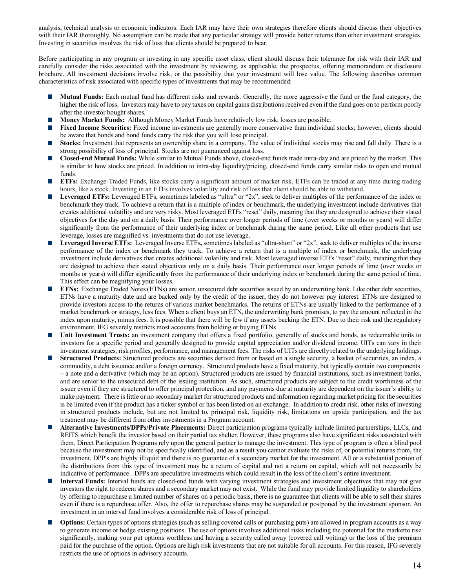analysis, technical analysis or economic indicators. Each IAR may have their own strategies therefore clients should discuss their objectives with their IAR thoroughly. No assumption can be made that any particular strategy will provide better returns than other investment strategies. Investing in securities involves the risk of loss that clients should be prepared to bear.

Before participating in any program or investing in any specific asset class, client should discuss their tolerance for risk with their IAR and carefully consider the risks associated with the investment by reviewing, as applicable, the prospectus, offering memorandum or disclosure brochure. All investment decisions involve risk, or the possibility that your investment will lose value. The following describes common characteristics of risk associated with specific types of investments that may be recommended:

- **Mutual Funds:** Each mutual fund has different risks and rewards. Generally, the more aggressive the fund or the fund category, the higher the risk of loss. Investors may have to pay taxes on capital gains distributions received even if the fund goes on to perform poorly after the investor bought shares.
- **Money Market Funds:** Although Money Market Funds have relatively low risk, losses are possible.
- **Fixed Income Securities:** Fixed income investments are generally more conservative than individual stocks; however, clients should be aware that bonds and bond funds carry the risk that you will lose principal.
- **Stocks:** Investment that represents an ownership share in a company. The value of individual stocks may rise and fall daily. There is a strong possibility of loss of principal. Stocks are not guaranteed against loss.
- **Closed-end Mutual Funds:** While similar to Mutual Funds above, closed-end funds trade intra-day and are priced by the market. This is similar to how stocks are priced. In addition to intra-day liquidity/pricing, closed-end funds carry similar risks to open end mutual funds.
- **The State ETFs:** Exchange-Traded Funds, like stocks carry a significant amount of market risk. ETFs can be traded at any time during trading hours, like a stock. Investing in an ETFs involves volatility and risk of loss that client should be able to withstand.
- Leveraged ETFs: Leveraged ETFs, sometimes labeled as "ultra" or "2x", seek to deliver multiples of the performance of the index or benchmark they track. To achieve a return that is a multiple of index or benchmark, the underlying investment include derivatives that creates additional volatility and are very risky. Most leveraged ETFs "reset" daily, meaning that they are designed to achieve their stated objectives for the day and on a daily basis. Their performance over longer periods of time (over weeks or months or years) will differ significantly from the performance of their underlying index or benchmark during the same period. Like all other products that use leverage, losses are magnified vs. investments that do not use leverage.
- **Leveraged Inverse ETFs:** Leveraged Inverse ETFs**,** sometimeslabeled as "ultra-short" or "2x", seek to deliver multiples of the inverse performance of the index or benchmark they track. To achieve a return that is a multiple of index or benchmark, the underlying investment include derivatives that creates additional volatility and risk. Most leveraged inverse ETFs "reset" daily, meaning that they are designed to achieve their stated objectives only on a daily basis. Their performance over longer periods of time (over weeks or months or years) will differ significantly from the performance of their underlying index or benchmark during the same period of time. This effect can be magnifying your losses.
- **ETNs:** Exchange Traded Notes(ETNs) are senior, unsecured debt securities issued by an underwriting bank. Like other debt securities, ETNs have a maturity date and are backed only by the credit of the issuer, they do not however pay interest. ETNs are designed to provide investors access to the returns of various market benchmarks. The returns of ETNs are usually linked to the performance of a market benchmark or strategy, less fees. When a client buys an ETN, the underwriting bank promises, to pay the amount reflected in the index upon maturity, minus fees. It is possible that there will be few if any assets backing the ETN. Due to their risk and the regulatory environment, IFG severely restricts most accounts from holding or buying ETNs
- **Unit Investment Trusts:** an investment company that offers a fixed portfolio, generally of stocks and bonds, as redeemable units to investors for a specific period and generally designed to provide capital appreciation and/or dividend income. UITs can vary in their investment strategies, risk profiles, performance, and management fees. The risks of UITs are directly related to the underlying holdings.
- **Structured Products:** Structured products are securities derived from or based on a single security, a basket of securities, an index, a commodity, a debt issuance and/or a foreign currency. Structured products have a fixed maturity, but typically contain two components – a note and a derivative (which may be an option). Structured products are issued by financial institutions, such as investment banks, and are senior to the unsecured debt of the issuing institution. As such, structured products are subject to the credit worthiness of the issuer even if they are structured to offer principal protection, and any payments due at maturity are dependent on the issuer's ability to make payment. There is little or no secondary market for structured products and information regarding market pricing for the securities is be limited even if the product has a ticker symbol or has been listed on an exchange. In addition to credit risk, other risks of investing in structured products include, but are not limited to, principal risk, liquidity risk, limitations on upside participation, and the tax treatment may be different from other investments in a Program account.
- **Alternative Investments/DPPs/Private Placements:** Direct participation programs typically include limited partnerships, LLCs, and REITS which benefit the investor based on their partial tax shelter. However, these programs also have significant risks associated with them. Direct Participation Programs rely upon the general partner to manage the investment. This type of program is often a blind pool because the investment may not be specifically identified, and as a result you cannot evaluate the risks of, or potential returns from, the investment. DPP's are highly illiquid and there is no guarantee of a secondary market for the investment. All or a substantial portion of the distributions from this type of investment may be a return of capital and not a return on capital, which will not necessarily be indicative of performance. DPPs are speculative investments which could result in the loss of the client's entire investment.
- **Interval Funds:** Interval funds are closed-end funds with varying investment strategies and investment objectives that may not give investors the right to redeem shares and a secondary market may not exist. While the fund may provide limited liquidity to shareholders by offering to repurchase a limited number of shares on a periodic basis, there is no guarantee that clients will be able to sell their shares even if there is a repurchase offer. Also, the offer to repurchase shares may be suspended or postponed by the investment sponsor. An investment in an interval fund involves a considerable risk of loss of principal.
- **Options:** Certain types of options strategies (such as selling covered calls or purchasing puts) are allowed in program accounts as a way to generate income or hedge existing positions. The use of options involves additional risks including the potential for the marketto rise significantly, making your put options worthless and having a security called away (covered call writing) or the loss of the premium paid for the purchase of the option. Options are high risk investments that are not suitable for all accounts. For this reason, IFG severely restricts the use of options in advisory accounts.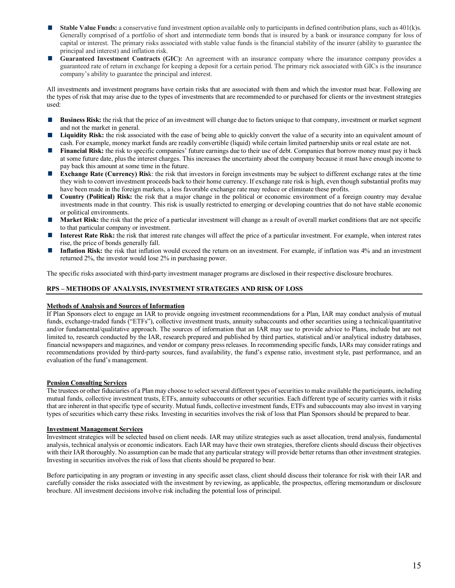- **Stable Value Funds:** a conservative fund investment option available only to participants in defined contribution plans, such as 401(k)s. Generally comprised of a portfolio of short and intermediate term bonds that is insured by a bank or insurance company for loss of capital or interest. The primary risks associated with stable value funds is the financial stability of the insurer (ability to guarantee the principal and interest) and inflation risk.
- **Guaranteed Investment Contracts (GIC):** An agreement with an insurance company where the insurance company provides a guaranteed rate of return in exchange for keeping a deposit for a certain period. The primary rick associated with GICs is the insurance company's ability to guarantee the principal and interest.

All investments and investment programs have certain risks that are associated with them and which the investor must bear. Following are the types of risk that may arise due to the types of investments that are recommended to or purchased for clients or the investment strategies used:

- **The Second Business Risk:** the risk that the price of an investment will change due to factors unique to that company, investment or market segment and not the market in general.
- Liquidity Risk: the risk associated with the ease of being able to quickly convert the value of a security into an equivalent amount of cash. For example, money market funds are readily convertible (liquid) while certain limited partnership units or real estate are not.
- **Financial Risk:** the risk to specific companies' future earnings due to their use of debt. Companies that borrow money must pay it back at some future date, plus the interest charges. This increases the uncertainty about the company because it must have enough income to pay back this amount at some time in the future.
- **Exchange Rate (Currency) Ris**k: the risk that investors in foreign investments may be subject to different exchange rates at the time they wish to convert investment proceeds back to their home currency. If exchange rate risk is high, even though substantial profits may have been made in the foreign markets, a less favorable exchange rate may reduce or eliminate these profits.
- **Country (Political) Risk:** the risk that a major change in the political or economic environment of a foreign country may devalue investments made in that country. This risk is usually restricted to emerging or developing countries that do not have stable economic or political environments.
- П **Market Risk:** the risk that the price of a particular investment will change as a result of overall market conditions that are not specific to that particular company or investment.
- **Interest Rate Risk:** the risk that interest rate changes will affect the price of a particular investment. For example, when interest rates rise, the price of bonds generally fall.
- **Inflation Risk:** the risk that inflation would exceed the return on an investment. For example, if inflation was 4% and an investment returned 2%, the investor would lose 2% in purchasing power.

The specific risks associated with third-party investment manager programs are disclosed in their respective disclosure brochures.

## **RPS – METHODS OF ANALYSIS, INVESTMENT STRATEGIES AND RISK OF LOSS**

## <span id="page-14-0"></span>**Methods of Analysis and Sources of Information**

If Plan Sponsors elect to engage an IAR to provide ongoing investment recommendations for a Plan, IAR may conduct analysis of mutual funds, exchange-traded funds ("ETFs"), collective investment trusts, annuity subaccounts and other securities using a technical/quantitative and/or fundamental/qualitative approach. The sources of information that an IAR may use to provide advice to Plans, include but are not limited to, research conducted by the IAR, research prepared and published by third parties, statistical and/or analytical industry databases, financial newspapers and magazines, and vendor or company pressreleases. In recommending specific funds, IARs may consider ratings and recommendations provided by third-party sources, fund availability, the fund's expense ratio, investment style, past performance, and an evaluation of the fund's management.

## <span id="page-14-1"></span>**Pension Consulting Services**

The trustees or other fiduciaries of a Plan may choose to select several different types of securitiesto make available the participants, including mutual funds, collective investment trusts, ETFs, annuity subaccounts or other securities. Each different type of security carries with it risks that are inherent in that specific type of security. Mutual funds, collective investment funds, ETFs and subaccounts may also invest in varying types of securities which carry these risks. Investing in securities involves the risk of loss that Plan Sponsors should be prepared to bear.

## <span id="page-14-2"></span>**Investment Management Services**

Investment strategies will be selected based on client needs. IAR may utilize strategies such as asset allocation, trend analysis, fundamental analysis, technical analysis or economic indicators. Each IAR may have their own strategies, therefore clients should discuss their objectives with their IAR thoroughly. No assumption can be made that any particular strategy will provide better returns than other investment strategies. Investing in securities involves the risk of loss that clients should be prepared to bear.

Before participating in any program or investing in any specific asset class, client should discuss their tolerance for risk with their IAR and carefully consider the risks associated with the investment by reviewing, as applicable, the prospectus, offering memorandum or disclosure brochure. All investment decisions involve risk including the potential loss of principal.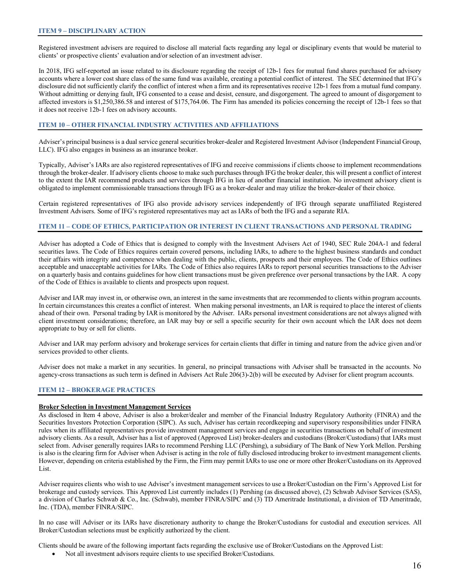#### <span id="page-15-0"></span>**ITEM 9 – DISCIPLINARY ACTION**

Registered investment advisers are required to disclose all material facts regarding any legal or disciplinary events that would be material to clients' or prospective clients' evaluation and/or selection of an investment adviser.

In 2018, IFG self-reported an issue related to its disclosure regarding the receipt of 12b-1 fees for mutual fund shares purchased for advisory accounts where a lower cost share class of the same fund was available, creating a potential conflict of interest. The SEC determined that IFG's disclosure did not sufficiently clarify the conflict of interest when a firm and its representatives receive 12b-1 fees from a mutual fund company. Without admitting or denying fault, IFG consented to a cease and desist, censure, and disgorgement. The agreed to amount of disgorgement to affected investors is \$1,250,386.58 and interest of \$175,764.06. The Firm has amended its policies concerning the receipt of 12b-1 fees so that it does not receive 12b-1 fees on advisory accounts.

#### <span id="page-15-1"></span>**ITEM 10 – OTHER FINANCIAL INDUSTRY ACTIVITIES AND AFFILIATIONS**

Adviser's principal business is a dual service general securities broker-dealer and Registered Investment Advisor (Independent Financial Group, LLC). IFG also engages in business as an insurance broker.

Typically, Adviser's IARs are also registered representatives of IFG and receive commissions if clients choose to implement recommendations through the broker-dealer. If advisory clients choose to make such purchases through IFG the broker dealer, this will present a conflict of interest to the extent the IAR recommend products and services through IFG in lieu of another financial institution. No investment advisory client is obligated to implement commissionable transactions through IFG as a broker-dealer and may utilize the broker-dealer of their choice.

Certain registered representatives of IFG also provide advisory services independently of IFG through separate unaffiliated Registered Investment Advisers. Some of IFG's registered representatives may act as IARs of both the IFG and a separate RIA.

#### <span id="page-15-2"></span>**ITEM 11 – CODE OF ETHICS, PARTICIPATION OR INTEREST IN CLIENT TRANSACTIONS AND PERSONAL TRADING**

Adviser has adopted a Code of Ethics that is designed to comply with the Investment Advisers Act of 1940, SEC Rule 204A-1 and federal securities laws. The Code of Ethics requires certain covered persons, including IARs, to adhere to the highest business standards and conduct their affairs with integrity and competence when dealing with the public, clients, prospects and their employees. The Code of Ethics outlines acceptable and unacceptable activities for IARs. The Code of Ethics also requires IARs to report personal securities transactions to the Adviser on a quarterly basis and contains guidelines for how client transactions must be given preference over personal transactions by the IAR. A copy of the Code of Ethics is available to clients and prospects upon request.

Adviser and IAR may invest in, or otherwise own, an interest in the same investments that are recommended to clients within program accounts. In certain circumstances this creates a conflict of interest. When making personal investments, an IAR is required to place the interest of clients ahead of their own. Personal trading by IAR is monitored by the Adviser. IARs personal investment considerations are not always aligned with client investment considerations; therefore, an IAR may buy or sell a specific security for their own account which the IAR does not deem appropriate to buy or sell for clients.

Adviser and IAR may perform advisory and brokerage services for certain clients that differ in timing and nature from the advice given and/or services provided to other clients.

Adviser does not make a market in any securities. In general, no principal transactions with Adviser shall be transacted in the accounts. No agency-cross transactions as such term is defined in Advisers Act Rule 206(3)-2(b) will be executed by Adviser for client program accounts.

#### <span id="page-15-3"></span>**ITEM 12 – BROKERAGE PRACTICES**

#### <span id="page-15-4"></span>**Broker Selection in Investment Management Services**

As disclosed in Item 4 above, Adviser is also a broker/dealer and member of the Financial Industry Regulatory Authority (FINRA) and the Securities Investors Protection Corporation (SIPC). As such, Adviser has certain recordkeeping and supervisory responsibilities under FINRA rules when its affiliated representatives provide investment management services and engage in securities transactions on behalf of investment advisory clients. As a result, Adviser has a list of approved (Approved List) broker-dealers and custodians (Broker/Custodians) that IARs must select from. Adviser generally requires IARs to recommend Pershing LLC (Pershing), a subsidiary of The Bank of New York Mellon. Pershing is also is the clearing firm for Adviser when Adviser is acting in the role of fully disclosed introducing broker to investment management clients. However, depending on criteria established by the Firm, the Firm may permit IARs to use one or more other Broker/Custodians on its Approved List.

Adviser requires clients who wish to use Adviser's investment management services to use a Broker/Custodian on the Firm's Approved List for brokerage and custody services. This Approved List currently includes (1) Pershing (as discussed above), (2) Schwab Advisor Services (SAS), a division of Charles Schwab & Co., Inc. (Schwab), member FINRA/SIPC and (3) TD Ameritrade Institutional, a division of TD Ameritrade, Inc. (TDA), member FINRA/SIPC.

In no case will Adviser or its IARs have discretionary authority to change the Broker/Custodians for custodial and execution services. All Broker/Custodian selections must be explicitly authorized by the client.

Clients should be aware of the following important facts regarding the exclusive use of Broker/Custodians on the Approved List:

• Not all investment advisors require clients to use specified Broker/Custodians.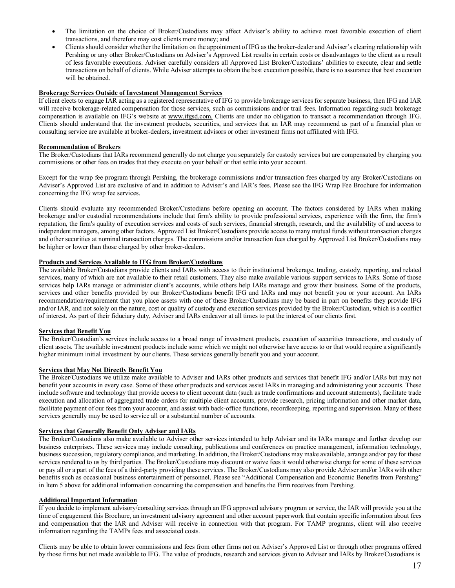- The limitation on the choice of Broker/Custodians may affect Adviser's ability to achieve most favorable execution of client transactions, and therefore may cost clients more money; and
- Clients should consider whether the limitation on the appointment of IFG as the broker-dealer and Adviser's clearing relationship with Pershing or any other Broker/Custodians on Adviser's Approved List results in certain costs or disadvantages to the client as a result of less favorable executions. Adviser carefully considers all Approved List Broker/Custodians' abilities to execute, clear and settle transactions on behalf of clients. While Adviser attempts to obtain the best execution possible, there is no assurance that best execution will be obtained.

#### <span id="page-16-0"></span>**Brokerage Services Outside of Investment Management Services**

If client elects to engage IAR acting as a registered representative of IFG to provide brokerage services for separate business, then IFG and IAR will receive brokerage-related compensation for those services, such as commissions and/or trail fees. Information regarding such brokerage compensation is available on IFG's website at [www.ifgsd.com.](http://www.ifgsd.com/) Clients are under no obligation to transact a recommendation through IFG. Clients should understand that the investment products, securities, and services that an IAR may recommend as part of a financial plan or consulting service are available at broker-dealers, investment advisors or other investment firms not affiliated with IFG.

#### <span id="page-16-1"></span>**Recommendation of Brokers**

The Broker/Custodians that IARs recommend generally do not charge you separately for custody services but are compensated by charging you commissions or other fees on trades that they execute on your behalf or that settle into your account.

Except for the wrap fee program through Pershing, the brokerage commissions and/or transaction fees charged by any Broker/Custodians on Adviser's Approved List are exclusive of and in addition to Adviser's and IAR's fees. Please see the IFG Wrap Fee Brochure for information concerning the IFG wrap fee services.

Clients should evaluate any recommended Broker/Custodians before opening an account. The factors considered by IARs when making brokerage and/or custodial recommendations include that firm's ability to provide professional services, experience with the firm, the firm's reputation, the firm's quality of execution services and costs of such services, financial strength, research, and the availability of and access to independent managers, among other factors. Approved List Broker/Custodians provide accessto many mutual funds without transaction charges and other securities at nominal transaction charges. The commissions and/or transaction fees charged by Approved List Broker/Custodians may be higher or lower than those charged by other broker-dealers.

#### <span id="page-16-2"></span>**Products and Services Available to IFG from Broker/Custodians**

The available Broker/Custodians provide clients and IARs with access to their institutional brokerage, trading, custody, reporting, and related services, many of which are not available to their retail customers. They also make available various support services to IARs. Some of those services help IARs manage or administer client's accounts, while others help IARs manage and grow their business. Some of the products, services and other benefits provided by our Broker/Custodians benefit IFG and IARs and may not benefit you or your account. An IARs recommendation/requirement that you place assets with one of these Broker/Custodians may be based in part on benefits they provide IFG and/or IAR, and not solely on the nature, cost or quality of custody and execution services provided by the Broker/Custodian, which is a conflict of interest. As part of their fiduciary duty, Adviser and IARs endeavor at all times to put the interest of our clients first.

#### <span id="page-16-3"></span>**Services that Benefit You**

The Broker/Custodian's services include access to a broad range of investment products, execution of securities transactions, and custody of client assets. The available investment products include some which we might not otherwise have access to or that would require a significantly higher minimum initial investment by our clients. These services generally benefit you and your account.

#### <span id="page-16-4"></span>**Services that May Not Directly Benefit You**

The Broker/Custodians we utilize make available to Adviser and IARs other products and services that benefit IFG and/or IARs but may not benefit your accounts in every case. Some of these other products and services assist IARs in managing and administering your accounts. These include software and technology that provide access to client account data (such as trade confirmations and account statements), facilitate trade execution and allocation of aggregated trade orders for multiple client accounts, provide research, pricing information and other market data, facilitate payment of our fees from your account, and assist with back-office functions, recordkeeping, reporting and supervision. Many of these services generally may be used to service all or a substantial number of accounts.

# <span id="page-16-5"></span>**Services that Generally Benefit Only Adviser and IARs**

The Broker/Custodians also make available to Adviser other services intended to help Adviser and its IARs manage and further develop our business enterprises. These services may include consulting, publications and conferences on practice management, information technology, business succession, regulatory compliance, and marketing. In addition, the Broker/Custodians may make available, arrange and/or pay for these services rendered to us by third parties. The Broker/Custodians may discount or waive fees it would otherwise charge for some of these services or pay all or a part of the fees of a third-party providing these services. The Broker/Custodians may also provide Adviser and/or IARs with other benefits such as occasional business entertainment of personnel. Please see "Additional Compensation and Economic Benefits from Pershing" in Item 5 above for additional information concerning the compensation and benefits the Firm receives from Pershing.

#### <span id="page-16-6"></span>**Additional Important Information**

If you decide to implement advisory/consulting services through an IFG approved advisory program or service, the IAR will provide you at the time of engagement this Brochure, an investment advisory agreement and other account paperwork that contain specific information about fees and compensation that the IAR and Adviser will receive in connection with that program. For TAMP programs, client will also receive information regarding the TAMPs fees and associated costs.

Clients may be able to obtain lower commissions and fees from other firms not on Adviser's Approved List or through other programs offered by those firms but not made available to IFG. The value of products, research and services given to Adviser and IARs by Broker/Custodians is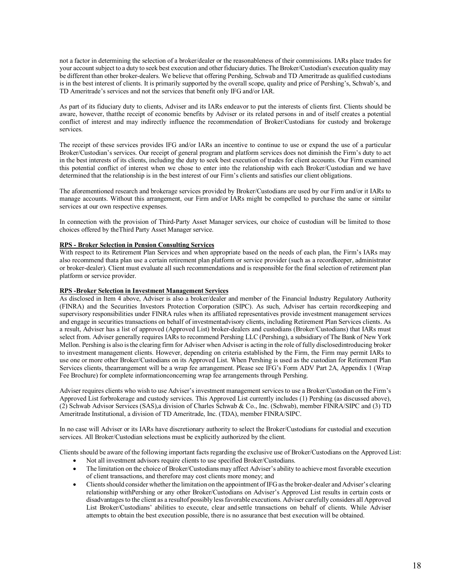not a factor in determining the selection of a broker/dealer or the reasonableness of their commissions. IARs place trades for your account subject to a duty to seek best execution and other fiduciary duties. The Broker/Custodian's execution quality may be different than other broker- dealers. We believe that offering Pershing, Schwab and TD Ameritrade as qualified custodians is in the best interest of clients. It is primarily supported by the overall scope, quality and price of Pershing's, Schwab's, and TD Ameritrade's services and not the services that benefit only IFG and/or IAR.

As part of its fiduciary duty to clients, Adviser and its IARs endeavor to put the interests of clients first. Clients should be aware, however, thatthe receipt of economic benefits by Adviser or its related persons in and of itself creates a potential conflict of interest and may indirectly influence the recommendation of Broker/Custodians for custody and brokerage services.

The receipt of these services provides IFG and/or IARs an incentive to continue to use or expand the use of a particular Broker/Custodian's services. Our receipt of general program and platform services does not diminish the Firm's duty to act in the best interests of its clients, including the duty to seek best execution of trades for client accounts. Our Firm examined this potential conflict of interest when we chose to enter into the relationship with each Broker/Custodian and we have determined that the relationship is in the best interest of our Firm's clients and satisfies our client obligations.

The aforementioned research and brokerage services provided by Broker/Custodians are used by our Firm and/or it IARs to manage accounts. Without this arrangement, our Firm and/or IARs might be compelled to purchase the same or similar services at our own respective expenses.

In connection with the provision of Third-Party Asset Manager services, our choice of custodian will be limited to those choices offered by theThird Party Asset Manager service.

#### <span id="page-17-0"></span>**RPS - Broker Selection in Pension Consulting Services**

With respect to its Retirement Plan Services and when appropriate based on the needs of each plan, the Firm's IARs may also recommend thata plan use a certain retirement plan platform or service provider (such as a recordkeeper, administrator or broker-dealer). Client must evaluate all such recommendations and is responsible for the final selection of retirement plan platform or service provider.

## <span id="page-17-1"></span>**RPS -Broker Selection in Investment Management Services**

As disclosed in Item 4 above, Adviser is also a broker/dealer and member of the Financial Industry Regulatory Authority (FINRA) and the Securities Investors Protection Corporation (SIPC). As such, Adviser has certain recordkeeping and supervisory responsibilities under FINRA rules when its affiliated representatives provide investment management services and engage in securities transactions on behalf of investmentadvisory clients, including Retirement Plan Services clients. As a result, Adviser has a list of approved (Approved List) broker-dealers and custodians (Broker/Custodians) that IARs must select from. Adviser generally requires IARs to recommend Pershing LLC (Pershing), a subsidiary of The Bank of New York Mellon. Pershing is also is the clearing firm for Adviser when Adviser is acting in the role of fully disclosed introducing broker to investment management clients. However, depending on criteria established by the Firm, the Firm may permit IARs to use one or more other Broker/Custodians on its Approved List. When Pershing is used as the custodian for Retirement Plan Services clients, the arrangement will be a wrap fee arrangement. Please see IFG's Form ADV Part 2A, Appendix 1 (Wrap Fee Brochure) for complete informationconcerning wrap fee arrangements through Pershing.

Adviser requires clients who wish to use Adviser's investment management services to use a Broker/Custodian on the Firm's Approved List forbrokerage and custody services. This Approved List currently includes (1) Pershing (as discussed above), (2) Schwab Advisor Services (SAS),a division of Charles Schwab & Co., Inc. (Schwab), member FINRA/SIPC and (3) TD Ameritrade Institutional, a division of TD Ameritrade, Inc. (TDA), member FINRA/SIPC.

In no case will Adviser or its IARs have discretionary authority to select the Broker/Custodians for custodial and execution services. All Broker/Custodian selections must be explicitly authorized by the client.

Clients should be aware of the following important facts regarding the exclusive use of Broker/Custodians on the Approved List:

- Not all investment advisors require clients to use specified Broker/Custodians.
- The limitation on the choice of Broker/Custodians may affect Adviser's ability to achieve most favorable execution of client transactions, and therefore may cost clients more money; and
- Clients should consider whether the limitation on the appointment ofIFG asthe broker-dealer and Adviser's clearing relationship withPershing or any other Broker/Custodians on Adviser's Approved List results in certain costs or disadvantages to the client as a resultof possibly less favorable executions. Adviser carefully considers all Approved List Broker/Custodians' abilities to execute, clear andsettle transactions on behalf of clients. While Adviser attempts to obtain the best execution possible, there is no assurance that best execution will be obtained.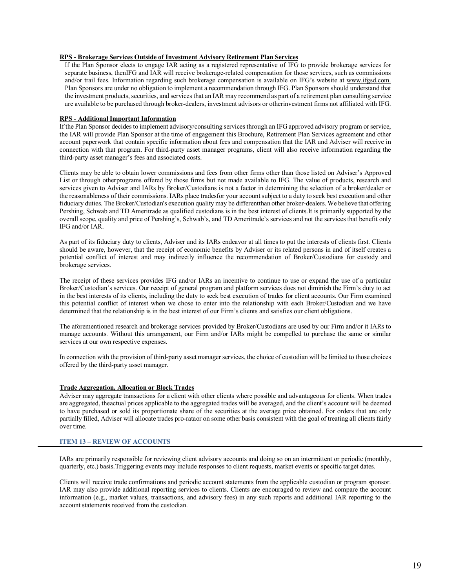#### <span id="page-18-0"></span>**RPS - Brokerage Services Outside of Investment Advisory Retirement Plan Services**

If the Plan Sponsor elects to engage IAR acting as a registered representative of IFG to provide brokerage services for separate business, thenIFG and IAR will receive brokerage-related compensation for those services, such as commissions and/or trail fees. Information regarding such brokerage compensation is available on IFG's website at [www.ifgsd.com.](http://www.ifgsd.com/) Plan Sponsors are under no obligation to implement a recommendation through IFG. Plan Sponsors should understand that the investment products, securities, and services that an IAR may recommend as part of a retirement plan consulting service are available to be purchased through broker-dealers, investment advisors or other investment firms not affiliated with IFG.

#### <span id="page-18-1"></span>**RPS - Additional Important Information**

If the Plan Sponsor decides to implement advisory/consulting services through an IFG approved advisory program or service, the IAR will provide Plan Sponsor at the time of engagement this Brochure, Retirement Plan Services agreement and other account paperwork that contain specific information about fees and compensation that the IAR and Adviser will receive in connection with that program. For third-party asset manager programs, client will also receive information regarding the third-party asset manager's fees and associated costs.

Clients may be able to obtain lower commissions and fees from other firms other than those listed on Adviser's Approved List or through other programs offered by those firms but not made available to IFG. The value of products, research and services given to Adviser and IARs by Broker/Custodians is not a factor in determining the selection of a broker/dealer or the reasonableness of their commissions. IARs place tradesfor your account subject to a duty to seek best execution and other fiduciary duties. The Broker/Custodian's execution quality may be differentthan other broker-dealers.We believe that offering Pershing, Schwab and TD Ameritrade as qualified custodians is in the best interest of clients.It is primarily supported by the overall scope, quality and price of Pershing's, Schwab's, and TD Ameritrade's services and not the services that benefit only IFG and/or IAR.

As part of its fiduciary duty to clients, Adviser and its IARs endeavor at all times to put the interests of clients first. Clients should be aware, however, that the receipt of economic benefits by Adviser or its related persons in and of itself creates a potential conflict of interest and may indirectly influence the recommendation of Broker/Custodians for custody and brokerage services.

The receipt of these services provides IFG and/or IARs an incentive to continue to use or expand the use of a particular Broker/Custodian's services. Our receipt of general program and platform services does not diminish the Firm's duty to act in the best interests of its clients, including the duty to seek best execution of trades for client accounts. Our Firm examined this potential conflict of interest when we chose to enter into the relationship with each Broker/Custodian and we have determined that the relationship is in the best interest of our Firm's clients and satisfies our client obligations.

The aforementioned research and brokerage services provided by Broker/Custodians are used by our Firm and/or it IARs to manage accounts. Without this arrangement, our Firm and/or IARs might be compelled to purchase the same or similar services at our own respective expenses.

In connection with the provision of third-party asset manager services, the choice of custodian will be limited to those choices offered by the third-party asset manager.

## <span id="page-18-2"></span>**Trade Aggregation, Allocation or Block Trades**

Adviser may aggregate transactions for a client with other clients where possible and advantageous for clients. When trades are aggregated, the actual prices applicable to the aggregated trades will be averaged, and the client's account will be deemed to have purchased or sold its proportionate share of the securities at the average price obtained. For orders that are only partially filled, Adviser will allocate trades pro-rataor on some other basis consistent with the goal of treating all clients fairly over time.

## <span id="page-18-3"></span>**ITEM 13 – REVIEW OF ACCOUNTS**

IARs are primarily responsible for reviewing client advisory accounts and doing so on an intermittent or periodic (monthly, quarterly, etc.) basis.Triggering events may include responses to client requests, market events or specific target dates.

Clients will receive trade confirmations and periodic account statements from the applicable custodian or program sponsor. IAR may also provide additional reporting services to clients. Clients are encouraged to review and compare the account information (e.g., market values, transactions, and advisory fees) in any such reports and additional IAR reporting to the account statements received from the custodian.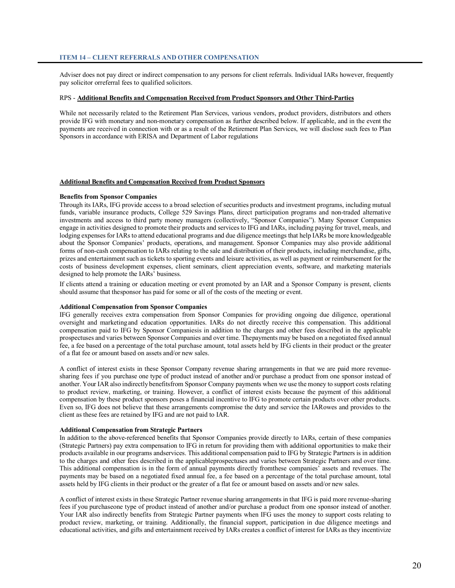<span id="page-19-0"></span>Adviser does not pay direct or indirect compensation to any persons for client referrals. Individual IARs however, frequently pay solicitor orreferral fees to qualified solicitors.

#### <span id="page-19-1"></span>RPS - **Additional Benefits and Compensation Received from Product Sponsors and Other Third-Parties**

While not necessarily related to the Retirement Plan Services, various vendors, product providers, distributors and others provide IFG with monetary and non-monetary compensation as further described below. If applicable, and in the event the payments are received in connection with or as a result of the Retirement Plan Services, we will disclose such fees to Plan Sponsors in accordance with ERISA and Department of Labor regulations

#### <span id="page-19-2"></span>**Additional Benefits and Compensation Received from Product Sponsors**

#### **Benefits from Sponsor Companies**

Through its IARs, IFG provide access to a broad selection of securities products and investment programs, including mutual funds, variable insurance products, College 529 Savings Plans, direct participation programs and non-traded alternative investments and access to third party money managers (collectively, "Sponsor Companies"). Many Sponsor Companies engage in activities designed to promote their products and services to IFG and IARs, including paying for travel, meals, and lodging expenses for IARs to attend educational programs and due diligence meetings that help IARs be more knowledgeable about the Sponsor Companies' products, operations, and management. Sponsor Companies may also provide additional forms of non-cash compensation to IARs relating to the sale and distribution of their products, including merchandise, gifts, prizes and entertainment such as tickets to sporting events and leisure activities, as well as payment or reimbursement for the costs of business development expenses, client seminars, client appreciation events, software, and marketing materials designed to help promote the IARs' business.

If clients attend a training or education meeting or event promoted by an IAR and a Sponsor Company is present, clients should assume that the sponsor has paid for some or all of the costs of the meeting or event.

#### <span id="page-19-3"></span>**Additional Compensation from Sponsor Companies**

IFG generally receives extra compensation from Sponsor Companies for providing ongoing due diligence, operational oversight and marketingand education opportunities. IARs do not directly receive this compensation. This additional compensation paid to IFG by Sponsor Companiesis in addition to the charges and other fees described in the applicable prospectuses and varies between Sponsor Companies and over time. Thepayments may be based on a negotiated fixed annual fee, a fee based on a percentage of the total purchase amount, total assets held by IFG clients in their product or the greater of a flat fee or amount based on assets and/or new sales.

A conflict of interest exists in these Sponsor Company revenue sharing arrangements in that we are paid more revenuesharing fees if you purchase one type of product instead of another and/or purchase a product from one sponsor instead of another. Your IAR also indirectly benefits from Sponsor Company payments when we use the money to support costs relating to product review, marketing, or training. However, a conflict of interest exists because the payment of this additional compensation by these product sponsors poses a financial incentive to IFG to promote certain products over other products. Even so, IFG does not believe that these arrangements compromise the duty and service the IARowes and provides to the client as these fees are retained by IFG and are not paid to IAR.

#### <span id="page-19-4"></span>**Additional Compensation from Strategic Partners**

In addition to the above-referenced benefits that Sponsor Companies provide directly to IARs, certain of these companies (Strategic Partners) pay extra compensation to IFG in return for providing them with additional opportunities to make their products available in our programs andservices. This additional compensation paid to IFG by Strategic Partners is in addition to the charges and other fees described in the applicable prospectuses and varies between Strategic Partners and over time. This additional compensation is in the form of annual payments directly fromthese companies' assets and revenues. The payments may be based on a negotiated fixed annual fee, a fee based on a percentage of the total purchase amount, total assets held by IFG clients in their product or the greater of a flat fee or amount based on assets and/or new sales.

A conflict of interest exists in these Strategic Partner revenue sharing arrangements in that IFG is paid more revenue-sharing fees if you purchaseone type of product instead of another and/or purchase a product from one sponsor instead of another. Your IAR also indirectly benefits from Strategic Partner payments when IFG uses the money to support costs relating to product review, marketing, or training. Additionally, the financial support, participation in due diligence meetings and educational activities, and gifts and entertainment received by IARs creates a conflict of interest for IARs as they incentivize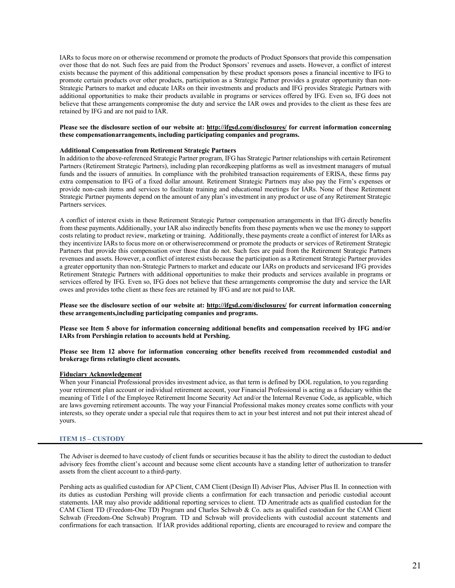IARs to focus more on or otherwise recommend or promote the products of Product Sponsors that provide this compensation over those that do not. Such fees are paid from the Product Sponsors' revenues and assets. However, a conflict of interest exists because the payment of this additional compensation by these product sponsors poses a financial incentive to IFG to promote certain products over other products, participation as a Strategic Partner provides a greater opportunity than non-Strategic Partners to market and educate IARs on their investments and products and IFG provides Strategic Partners with additional opportunities to make their products available in programs or services offered by IFG. Even so, IFG does not believe that these arrangements compromise the duty and service the IAR owes and provides to the client as these fees are retained by IFG and are not paid to IAR.

#### **Please see the disclosure section of our website at: <http://ifgsd.com/disclosures/> for current information concerning these compensationarrangements, including participating companies and programs.**

#### <span id="page-20-0"></span>**Additional Compensation from Retirement Strategic Partners**

In addition to the above-referenced Strategic Partner program, IFG has Strategic Partner relationships with certain Retirement Partners (Retirement Strategic Partners), including plan recordkeeping platforms as well as investment managers of mutual funds and the issuers of annuities. In compliance with the prohibited transaction requirements of ERISA, these firms pay extra compensation to IFG of a fixed dollar amount. Retirement Strategic Partners may also pay the Firm's expenses or provide non-cash items and services to facilitate training and educational meetings for IARs. None of these Retirement Strategic Partner payments depend on the amount of any plan's investment in any product or use of any Retirement Strategic Partners services.

A conflict of interest exists in these Retirement Strategic Partner compensation arrangements in that IFG directly benefits from these payments.Additionally, your IAR also indirectly benefits from these payments when we use the money to support costs relating to product review, marketing or training. Additionally, these payments create a conflict of interest for IARs as they incentivize IARs to focus more on or otherwiserecommend or promote the products or services of Retirement Strategic Partners that provide this compensation over those that do not. Such fees are paid from the Retirement Strategic Partners revenues and assets. However, a conflict of interest exists because the participation as a Retirement Strategic Partner provides a greater opportunity than non-Strategic Partners to market and educate our IARs on products and servicesand IFG provides Retirement Strategic Partners with additional opportunities to make their products and services available in programs or services offered by IFG. Even so, IFG does not believe that these arrangements compromise the duty and service the IAR owes and provides to the client as these fees are retained by IFG and are not paid to IAR.

**Please see the disclosure section of our website at: <http://ifgsd.com/disclosures/> for current information concerning these arrangements,including participating companies and programs.** 

**Please see Item 5 above for information concerning additional benefits and compensation received by IFG and/or IARs from Pershingin relation to accounts held at Pershing.**

#### **Please see Item 12 above for information concerning other benefits received from recommended custodial and brokerage firms relatingto client accounts.**

#### <span id="page-20-1"></span>**Fiduciary Acknowledgement**

When your Financial Professional provides investment advice, as that term is defined by DOL regulation, to you regarding your retirement plan account or individual retirement account, your Financial Professional is acting as a fiduciary within the meaning of Title I of the Employee Retirement Income Security Act and/or the Internal Revenue Code, as applicable, which are laws governing retirement accounts. The way your Financial Professional makes money creates some conflicts with your interests, so they operate under a special rule that requires them to act in your best interest and not put their interest ahead of yours.

#### <span id="page-20-2"></span>**ITEM 15 – CUSTODY**

The Adviser is deemed to have custody of client funds or securities because it has the ability to direct the custodian to deduct advisory fees fromthe client's account and because some client accounts have a standing letter of authorization to transfer assets from the client account to a third-party.

Pershing acts as qualified custodian for AP Client, CAM Client (Design II) Adviser Plus, Adviser Plus II. In connection with its duties as custodian Pershing will provide clients a confirmation for each transaction and periodic custodial account statements. IAR may also provide additional reporting services to client. TD Ameritrade acts as qualified custodian for the CAM Client TD (Freedom-One TD) Program and Charles Schwab & Co. acts as qualified custodian for the CAM Client Schwab (Freedom-One Schwab) Program. TD and Schwab will provideclients with custodial account statements and confirmations for each transaction. If IAR provides additional reporting, clients are encouraged to review and compare the